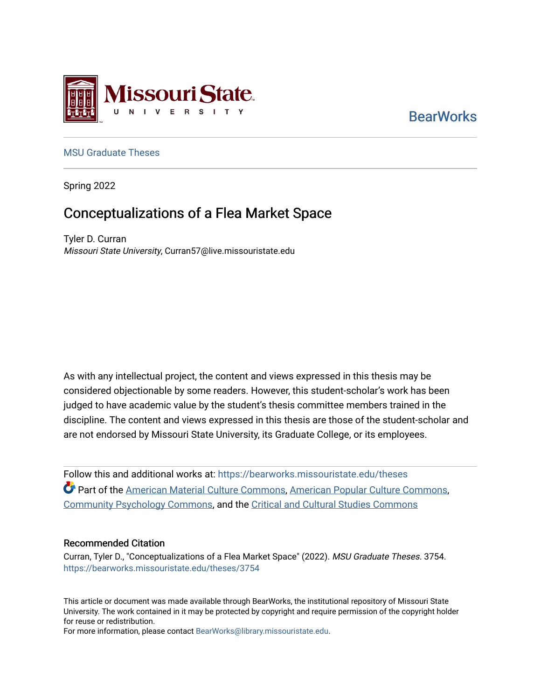

**BearWorks** 

### [MSU Graduate Theses](https://bearworks.missouristate.edu/theses)

Spring 2022

# Conceptualizations of a Flea Market Space

Tyler D. Curran Missouri State University, Curran57@live.missouristate.edu

As with any intellectual project, the content and views expressed in this thesis may be considered objectionable by some readers. However, this student-scholar's work has been judged to have academic value by the student's thesis committee members trained in the discipline. The content and views expressed in this thesis are those of the student-scholar and are not endorsed by Missouri State University, its Graduate College, or its employees.

Follow this and additional works at: [https://bearworks.missouristate.edu/theses](https://bearworks.missouristate.edu/theses?utm_source=bearworks.missouristate.edu%2Ftheses%2F3754&utm_medium=PDF&utm_campaign=PDFCoverPages)  Part of the [American Material Culture Commons](https://network.bepress.com/hgg/discipline/442?utm_source=bearworks.missouristate.edu%2Ftheses%2F3754&utm_medium=PDF&utm_campaign=PDFCoverPages), [American Popular Culture Commons,](https://network.bepress.com/hgg/discipline/443?utm_source=bearworks.missouristate.edu%2Ftheses%2F3754&utm_medium=PDF&utm_campaign=PDFCoverPages) [Community Psychology Commons,](https://network.bepress.com/hgg/discipline/409?utm_source=bearworks.missouristate.edu%2Ftheses%2F3754&utm_medium=PDF&utm_campaign=PDFCoverPages) and the [Critical and Cultural Studies Commons](https://network.bepress.com/hgg/discipline/328?utm_source=bearworks.missouristate.edu%2Ftheses%2F3754&utm_medium=PDF&utm_campaign=PDFCoverPages) 

#### Recommended Citation

Curran, Tyler D., "Conceptualizations of a Flea Market Space" (2022). MSU Graduate Theses. 3754. [https://bearworks.missouristate.edu/theses/3754](https://bearworks.missouristate.edu/theses/3754?utm_source=bearworks.missouristate.edu%2Ftheses%2F3754&utm_medium=PDF&utm_campaign=PDFCoverPages) 

This article or document was made available through BearWorks, the institutional repository of Missouri State University. The work contained in it may be protected by copyright and require permission of the copyright holder for reuse or redistribution.

For more information, please contact [BearWorks@library.missouristate.edu.](mailto:BearWorks@library.missouristate.edu)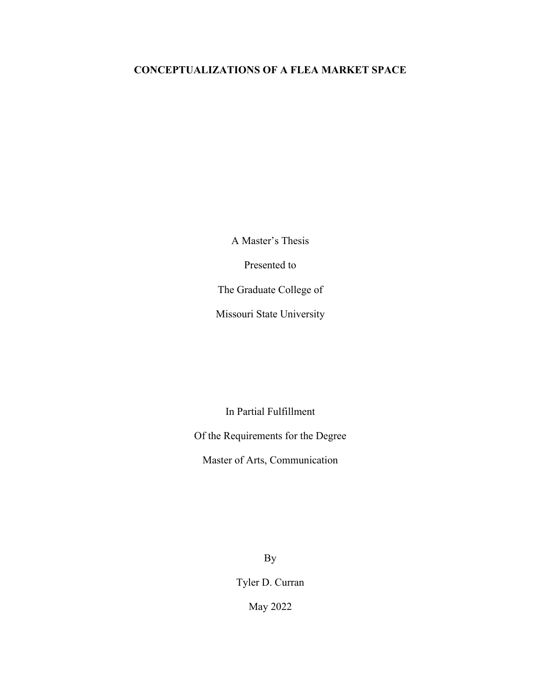## **CONCEPTUALIZATIONS OF A FLEA MARKET SPACE**

A Master's Thesis

Presented to

The Graduate College of

Missouri State University

In Partial Fulfillment

Of the Requirements for the Degree

Master of Arts, Communication

By

Tyler D. Curran

May 2022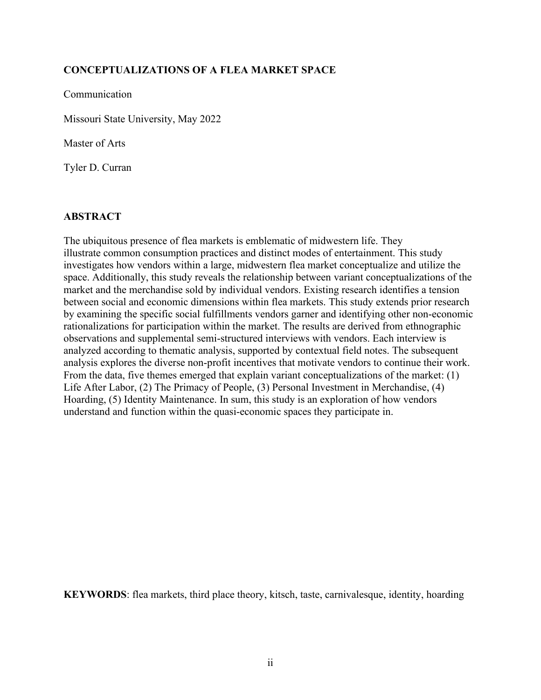## **CONCEPTUALIZATIONS OF A FLEA MARKET SPACE**

Communication

Missouri State University, May 2022

Master of Arts

Tyler D. Curran

## **ABSTRACT**

The ubiquitous presence of flea markets is emblematic of midwestern life. They illustrate common consumption practices and distinct modes of entertainment. This study investigates how vendors within a large, midwestern flea market conceptualize and utilize the space. Additionally, this study reveals the relationship between variant conceptualizations of the market and the merchandise sold by individual vendors. Existing research identifies a tension between social and economic dimensions within flea markets. This study extends prior research by examining the specific social fulfillments vendors garner and identifying other non-economic rationalizations for participation within the market. The results are derived from ethnographic observations and supplemental semi-structured interviews with vendors. Each interview is analyzed according to thematic analysis, supported by contextual field notes. The subsequent analysis explores the diverse non-profit incentives that motivate vendors to continue their work. From the data, five themes emerged that explain variant conceptualizations of the market: (1) Life After Labor, (2) The Primacy of People, (3) Personal Investment in Merchandise, (4) Hoarding, (5) Identity Maintenance. In sum, this study is an exploration of how vendors understand and function within the quasi-economic spaces they participate in.

**KEYWORDS**: flea markets, third place theory, kitsch, taste, carnivalesque, identity, hoarding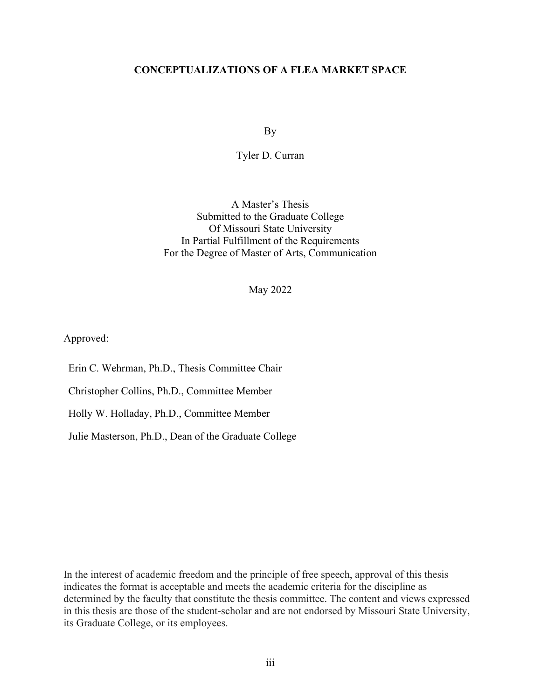### **CONCEPTUALIZATIONS OF A FLEA MARKET SPACE**

By

#### Tyler D. Curran

A Master's Thesis Submitted to the Graduate College Of Missouri State University In Partial Fulfillment of the Requirements For the Degree of Master of Arts, Communication

May 2022

Approved:

Erin C. Wehrman, Ph.D., Thesis Committee Chair

Christopher Collins, Ph.D., Committee Member

Holly W. Holladay, Ph.D., Committee Member

Julie Masterson, Ph.D., Dean of the Graduate College

In the interest of academic freedom and the principle of free speech, approval of this thesis indicates the format is acceptable and meets the academic criteria for the discipline as determined by the faculty that constitute the thesis committee. The content and views expressed in this thesis are those of the student-scholar and are not endorsed by Missouri State University, its Graduate College, or its employees.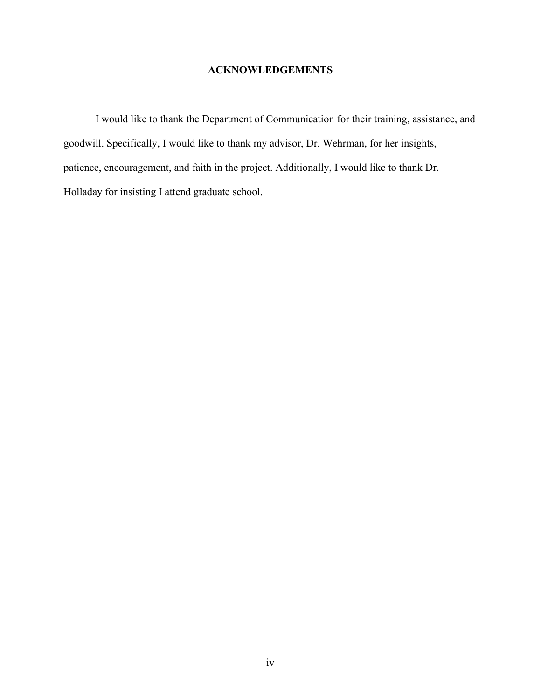## **ACKNOWLEDGEMENTS**

I would like to thank the Department of Communication for their training, assistance, and goodwill. Specifically, I would like to thank my advisor, Dr. Wehrman, for her insights, patience, encouragement, and faith in the project. Additionally, I would like to thank Dr. Holladay for insisting I attend graduate school.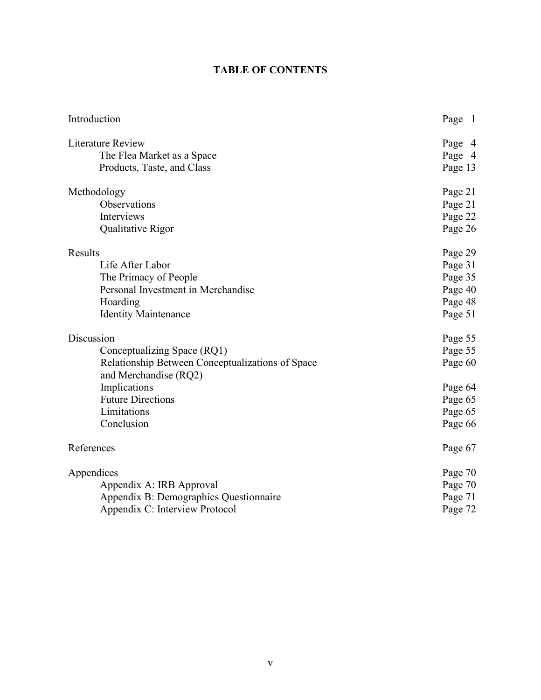## **TABLE OF CONTENTS**

| Literature Review<br>Page 4<br>The Flea Market as a Space<br>Page 4<br>Page 13<br>Products, Taste, and Class<br>Methodology<br>Page 21<br>Observations<br>Page 21<br>Interviews<br>Page 22<br>Qualitative Rigor<br>Page 26<br>Results<br>Page 29<br>Life After Labor<br>Page 31<br>The Primacy of People<br>Page 35<br>Personal Investment in Merchandise<br>Page 40<br>Hoarding<br>Page 48<br><b>Identity Maintenance</b><br>Page 51<br>Discussion<br>Page 55<br>Conceptualizing Space (RQ1)<br>Page 55<br>Relationship Between Conceptualizations of Space<br>Page 60<br>and Merchandise (RQ2)<br>Implications<br>Page 64<br><b>Future Directions</b><br>Page 65<br>Limitations<br>Page 65<br>Conclusion<br>Page 66<br>References<br>Page 67<br>Appendices<br>Page 70<br>Appendix A: IRB Approval<br>Page 70<br>Appendix B: Demographics Questionnaire<br>Page 71<br>Appendix C: Interview Protocol<br>Page 72 | Introduction | Page 1 |
|------------------------------------------------------------------------------------------------------------------------------------------------------------------------------------------------------------------------------------------------------------------------------------------------------------------------------------------------------------------------------------------------------------------------------------------------------------------------------------------------------------------------------------------------------------------------------------------------------------------------------------------------------------------------------------------------------------------------------------------------------------------------------------------------------------------------------------------------------------------------------------------------------------------|--------------|--------|
|                                                                                                                                                                                                                                                                                                                                                                                                                                                                                                                                                                                                                                                                                                                                                                                                                                                                                                                  |              |        |
|                                                                                                                                                                                                                                                                                                                                                                                                                                                                                                                                                                                                                                                                                                                                                                                                                                                                                                                  |              |        |
|                                                                                                                                                                                                                                                                                                                                                                                                                                                                                                                                                                                                                                                                                                                                                                                                                                                                                                                  |              |        |
|                                                                                                                                                                                                                                                                                                                                                                                                                                                                                                                                                                                                                                                                                                                                                                                                                                                                                                                  |              |        |
|                                                                                                                                                                                                                                                                                                                                                                                                                                                                                                                                                                                                                                                                                                                                                                                                                                                                                                                  |              |        |
|                                                                                                                                                                                                                                                                                                                                                                                                                                                                                                                                                                                                                                                                                                                                                                                                                                                                                                                  |              |        |
|                                                                                                                                                                                                                                                                                                                                                                                                                                                                                                                                                                                                                                                                                                                                                                                                                                                                                                                  |              |        |
|                                                                                                                                                                                                                                                                                                                                                                                                                                                                                                                                                                                                                                                                                                                                                                                                                                                                                                                  |              |        |
|                                                                                                                                                                                                                                                                                                                                                                                                                                                                                                                                                                                                                                                                                                                                                                                                                                                                                                                  |              |        |
|                                                                                                                                                                                                                                                                                                                                                                                                                                                                                                                                                                                                                                                                                                                                                                                                                                                                                                                  |              |        |
|                                                                                                                                                                                                                                                                                                                                                                                                                                                                                                                                                                                                                                                                                                                                                                                                                                                                                                                  |              |        |
|                                                                                                                                                                                                                                                                                                                                                                                                                                                                                                                                                                                                                                                                                                                                                                                                                                                                                                                  |              |        |
|                                                                                                                                                                                                                                                                                                                                                                                                                                                                                                                                                                                                                                                                                                                                                                                                                                                                                                                  |              |        |
|                                                                                                                                                                                                                                                                                                                                                                                                                                                                                                                                                                                                                                                                                                                                                                                                                                                                                                                  |              |        |
|                                                                                                                                                                                                                                                                                                                                                                                                                                                                                                                                                                                                                                                                                                                                                                                                                                                                                                                  |              |        |
|                                                                                                                                                                                                                                                                                                                                                                                                                                                                                                                                                                                                                                                                                                                                                                                                                                                                                                                  |              |        |
|                                                                                                                                                                                                                                                                                                                                                                                                                                                                                                                                                                                                                                                                                                                                                                                                                                                                                                                  |              |        |
|                                                                                                                                                                                                                                                                                                                                                                                                                                                                                                                                                                                                                                                                                                                                                                                                                                                                                                                  |              |        |
|                                                                                                                                                                                                                                                                                                                                                                                                                                                                                                                                                                                                                                                                                                                                                                                                                                                                                                                  |              |        |
|                                                                                                                                                                                                                                                                                                                                                                                                                                                                                                                                                                                                                                                                                                                                                                                                                                                                                                                  |              |        |
|                                                                                                                                                                                                                                                                                                                                                                                                                                                                                                                                                                                                                                                                                                                                                                                                                                                                                                                  |              |        |
|                                                                                                                                                                                                                                                                                                                                                                                                                                                                                                                                                                                                                                                                                                                                                                                                                                                                                                                  |              |        |
|                                                                                                                                                                                                                                                                                                                                                                                                                                                                                                                                                                                                                                                                                                                                                                                                                                                                                                                  |              |        |
|                                                                                                                                                                                                                                                                                                                                                                                                                                                                                                                                                                                                                                                                                                                                                                                                                                                                                                                  |              |        |
|                                                                                                                                                                                                                                                                                                                                                                                                                                                                                                                                                                                                                                                                                                                                                                                                                                                                                                                  |              |        |
|                                                                                                                                                                                                                                                                                                                                                                                                                                                                                                                                                                                                                                                                                                                                                                                                                                                                                                                  |              |        |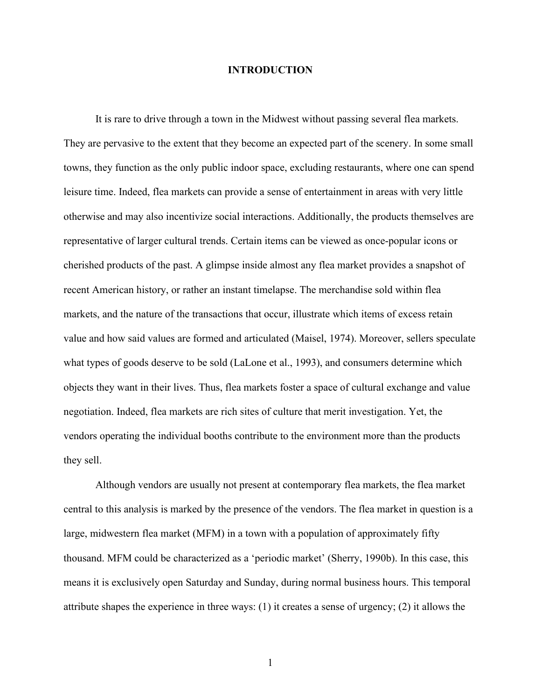#### **INTRODUCTION**

It is rare to drive through a town in the Midwest without passing several flea markets. They are pervasive to the extent that they become an expected part of the scenery. In some small towns, they function as the only public indoor space, excluding restaurants, where one can spend leisure time. Indeed, flea markets can provide a sense of entertainment in areas with very little otherwise and may also incentivize social interactions. Additionally, the products themselves are representative of larger cultural trends. Certain items can be viewed as once-popular icons or cherished products of the past. A glimpse inside almost any flea market provides a snapshot of recent American history, or rather an instant timelapse. The merchandise sold within flea markets, and the nature of the transactions that occur, illustrate which items of excess retain value and how said values are formed and articulated (Maisel, 1974). Moreover, sellers speculate what types of goods deserve to be sold (LaLone et al., 1993), and consumers determine which objects they want in their lives. Thus, flea markets foster a space of cultural exchange and value negotiation. Indeed, flea markets are rich sites of culture that merit investigation. Yet, the vendors operating the individual booths contribute to the environment more than the products they sell.

Although vendors are usually not present at contemporary flea markets, the flea market central to this analysis is marked by the presence of the vendors. The flea market in question is a large, midwestern flea market (MFM) in a town with a population of approximately fifty thousand. MFM could be characterized as a 'periodic market' (Sherry, 1990b). In this case, this means it is exclusively open Saturday and Sunday, during normal business hours. This temporal attribute shapes the experience in three ways: (1) it creates a sense of urgency; (2) it allows the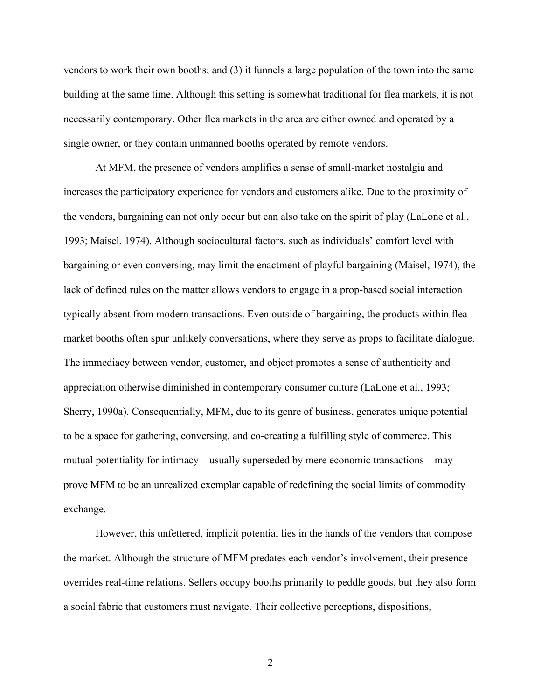vendors to work their own booths; and (3) it funnels a large population of the town into the same building at the same time. Although this setting is somewhat traditional for flea markets, it is not necessarily contemporary. Other flea markets in the area are either owned and operated by a single owner, or they contain unmanned booths operated by remote vendors.

At MFM, the presence of vendors amplifies a sense of small-market nostalgia and increases the participatory experience for vendors and customers alike. Due to the proximity of the vendors, bargaining can not only occur but can also take on the spirit of play (LaLone et al., 1993; Maisel, 1974). Although sociocultural factors, such as individuals' comfort level with bargaining or even conversing, may limit the enactment of playful bargaining (Maisel, 1974), the lack of defined rules on the matter allows vendors to engage in a prop-based social interaction typically absent from modern transactions. Even outside of bargaining, the products within flea market booths often spur unlikely conversations, where they serve as props to facilitate dialogue. The immediacy between vendor, customer, and object promotes a sense of authenticity and appreciation otherwise diminished in contemporary consumer culture (LaLone et al., 1993; Sherry, 1990a). Consequentially, MFM, due to its genre of business, generates unique potential to be a space for gathering, conversing, and co-creating a fulfilling style of commerce. This mutual potentiality for intimacy—usually superseded by mere economic transactions—may prove MFM to be an unrealized exemplar capable of redefining the social limits of commodity exchange.

However, this unfettered, implicit potential lies in the hands of the vendors that compose the market. Although the structure of MFM predates each vendor's involvement, their presence overrides real-time relations. Sellers occupy booths primarily to peddle goods, but they also form a social fabric that customers must navigate. Their collective perceptions, dispositions,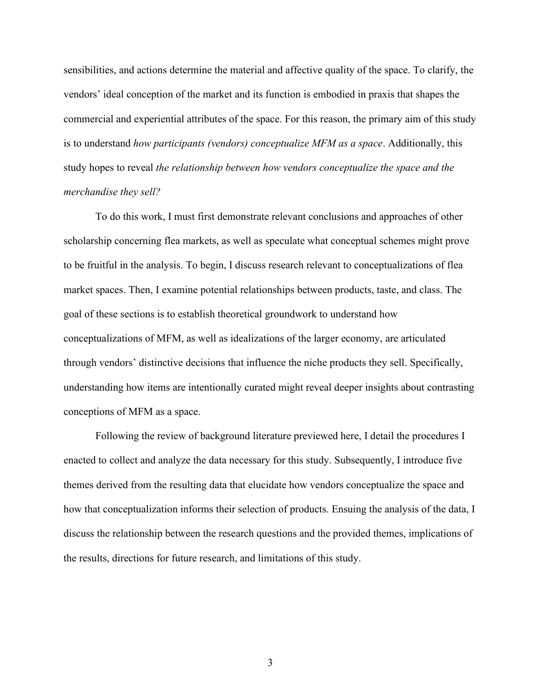sensibilities, and actions determine the material and affective quality of the space. To clarify, the vendors' ideal conception of the market and its function is embodied in praxis that shapes the commercial and experiential attributes of the space. For this reason, the primary aim of this study is to understand *how participants (vendors) conceptualize MFM as a space*. Additionally, this study hopes to reveal *the relationship between how vendors conceptualize the space and the merchandise they sell?*

To do this work, I must first demonstrate relevant conclusions and approaches of other scholarship concerning flea markets, as well as speculate what conceptual schemes might prove to be fruitful in the analysis. To begin, I discuss research relevant to conceptualizations of flea market spaces. Then, I examine potential relationships between products, taste, and class. The goal of these sections is to establish theoretical groundwork to understand how conceptualizations of MFM, as well as idealizations of the larger economy, are articulated through vendors' distinctive decisions that influence the niche products they sell. Specifically, understanding how items are intentionally curated might reveal deeper insights about contrasting conceptions of MFM as a space.

Following the review of background literature previewed here, I detail the procedures I enacted to collect and analyze the data necessary for this study. Subsequently, I introduce five themes derived from the resulting data that elucidate how vendors conceptualize the space and how that conceptualization informs their selection of products. Ensuing the analysis of the data, I discuss the relationship between the research questions and the provided themes, implications of the results, directions for future research, and limitations of this study.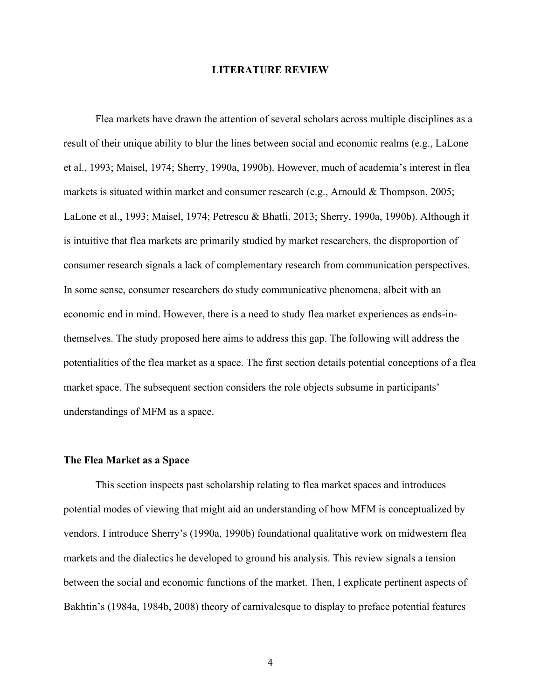#### **LITERATURE REVIEW**

Flea markets have drawn the attention of several scholars across multiple disciplines as a result of their unique ability to blur the lines between social and economic realms (e.g., LaLone et al., 1993; Maisel, 1974; Sherry, 1990a, 1990b). However, much of academia's interest in flea markets is situated within market and consumer research (e.g., Arnould & Thompson, 2005; LaLone et al., 1993; Maisel, 1974; Petrescu & Bhatli, 2013; Sherry, 1990a, 1990b). Although it is intuitive that flea markets are primarily studied by market researchers, the disproportion of consumer research signals a lack of complementary research from communication perspectives. In some sense, consumer researchers do study communicative phenomena, albeit with an economic end in mind. However, there is a need to study flea market experiences as ends-inthemselves. The study proposed here aims to address this gap. The following will address the potentialities of the flea market as a space. The first section details potential conceptions of a flea market space. The subsequent section considers the role objects subsume in participants' understandings of MFM as a space.

#### **The Flea Market as a Space**

This section inspects past scholarship relating to flea market spaces and introduces potential modes of viewing that might aid an understanding of how MFM is conceptualized by vendors. I introduce Sherry's (1990a, 1990b) foundational qualitative work on midwestern flea markets and the dialectics he developed to ground his analysis. This review signals a tension between the social and economic functions of the market. Then, I explicate pertinent aspects of Bakhtin's (1984a, 1984b, 2008) theory of carnivalesque to display to preface potential features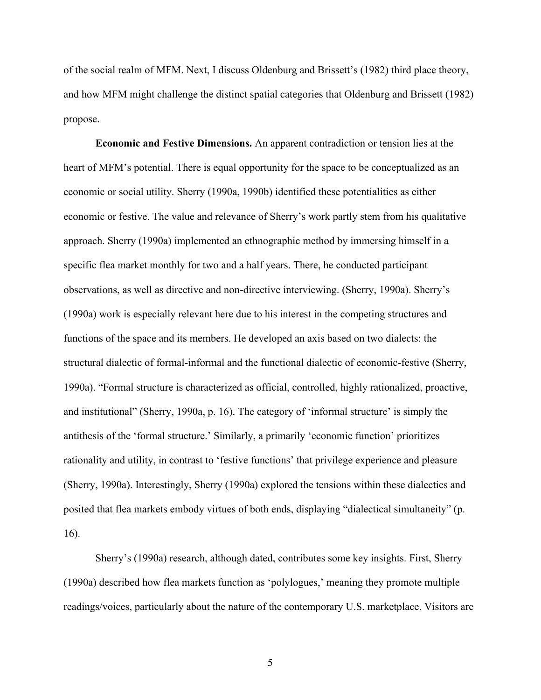of the social realm of MFM. Next, I discuss Oldenburg and Brissett's (1982) third place theory, and how MFM might challenge the distinct spatial categories that Oldenburg and Brissett (1982) propose.

**Economic and Festive Dimensions.** An apparent contradiction or tension lies at the heart of MFM's potential. There is equal opportunity for the space to be conceptualized as an economic or social utility. Sherry (1990a, 1990b) identified these potentialities as either economic or festive. The value and relevance of Sherry's work partly stem from his qualitative approach. Sherry (1990a) implemented an ethnographic method by immersing himself in a specific flea market monthly for two and a half years. There, he conducted participant observations, as well as directive and non-directive interviewing. (Sherry, 1990a). Sherry's (1990a) work is especially relevant here due to his interest in the competing structures and functions of the space and its members. He developed an axis based on two dialects: the structural dialectic of formal-informal and the functional dialectic of economic-festive (Sherry, 1990a). "Formal structure is characterized as official, controlled, highly rationalized, proactive, and institutional" (Sherry, 1990a, p. 16). The category of 'informal structure' is simply the antithesis of the 'formal structure.' Similarly, a primarily 'economic function' prioritizes rationality and utility, in contrast to 'festive functions' that privilege experience and pleasure (Sherry, 1990a). Interestingly, Sherry (1990a) explored the tensions within these dialectics and posited that flea markets embody virtues of both ends, displaying "dialectical simultaneity" (p. 16).

Sherry's (1990a) research, although dated, contributes some key insights. First, Sherry (1990a) described how flea markets function as 'polylogues,' meaning they promote multiple readings/voices, particularly about the nature of the contemporary U.S. marketplace. Visitors are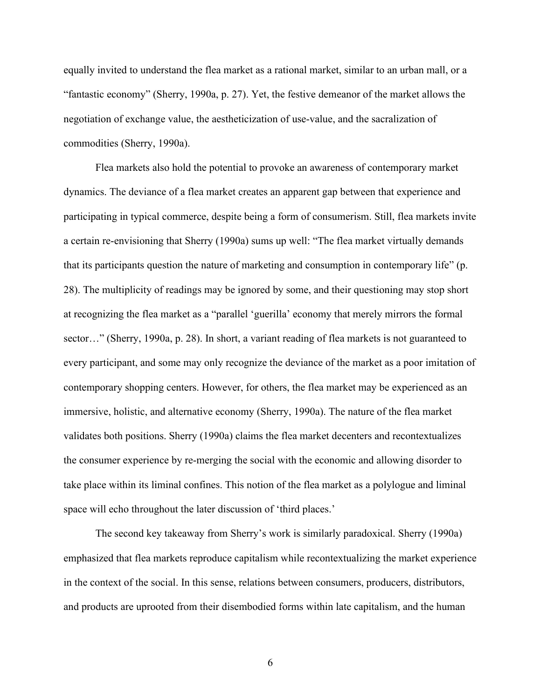equally invited to understand the flea market as a rational market, similar to an urban mall, or a "fantastic economy" (Sherry, 1990a, p. 27). Yet, the festive demeanor of the market allows the negotiation of exchange value, the aestheticization of use-value, and the sacralization of commodities (Sherry, 1990a).

Flea markets also hold the potential to provoke an awareness of contemporary market dynamics. The deviance of a flea market creates an apparent gap between that experience and participating in typical commerce, despite being a form of consumerism. Still, flea markets invite a certain re-envisioning that Sherry (1990a) sums up well: "The flea market virtually demands that its participants question the nature of marketing and consumption in contemporary life" (p. 28). The multiplicity of readings may be ignored by some, and their questioning may stop short at recognizing the flea market as a "parallel 'guerilla' economy that merely mirrors the formal sector…" (Sherry, 1990a, p. 28). In short, a variant reading of flea markets is not guaranteed to every participant, and some may only recognize the deviance of the market as a poor imitation of contemporary shopping centers. However, for others, the flea market may be experienced as an immersive, holistic, and alternative economy (Sherry, 1990a). The nature of the flea market validates both positions. Sherry (1990a) claims the flea market decenters and recontextualizes the consumer experience by re-merging the social with the economic and allowing disorder to take place within its liminal confines. This notion of the flea market as a polylogue and liminal space will echo throughout the later discussion of 'third places.'

The second key takeaway from Sherry's work is similarly paradoxical. Sherry (1990a) emphasized that flea markets reproduce capitalism while recontextualizing the market experience in the context of the social. In this sense, relations between consumers, producers, distributors, and products are uprooted from their disembodied forms within late capitalism, and the human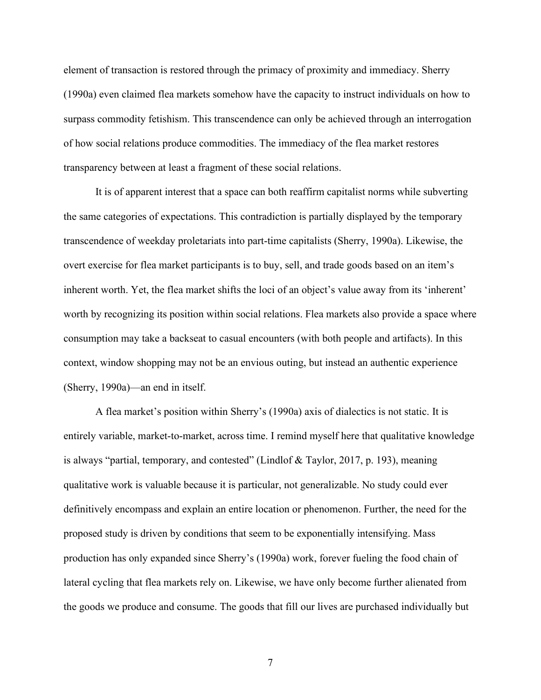element of transaction is restored through the primacy of proximity and immediacy. Sherry (1990a) even claimed flea markets somehow have the capacity to instruct individuals on how to surpass commodity fetishism. This transcendence can only be achieved through an interrogation of how social relations produce commodities. The immediacy of the flea market restores transparency between at least a fragment of these social relations.

It is of apparent interest that a space can both reaffirm capitalist norms while subverting the same categories of expectations. This contradiction is partially displayed by the temporary transcendence of weekday proletariats into part-time capitalists (Sherry, 1990a). Likewise, the overt exercise for flea market participants is to buy, sell, and trade goods based on an item's inherent worth. Yet, the flea market shifts the loci of an object's value away from its 'inherent' worth by recognizing its position within social relations. Flea markets also provide a space where consumption may take a backseat to casual encounters (with both people and artifacts). In this context, window shopping may not be an envious outing, but instead an authentic experience (Sherry, 1990a)—an end in itself.

A flea market's position within Sherry's (1990a) axis of dialectics is not static. It is entirely variable, market-to-market, across time. I remind myself here that qualitative knowledge is always "partial, temporary, and contested" (Lindlof & Taylor, 2017, p. 193), meaning qualitative work is valuable because it is particular, not generalizable. No study could ever definitively encompass and explain an entire location or phenomenon. Further, the need for the proposed study is driven by conditions that seem to be exponentially intensifying. Mass production has only expanded since Sherry's (1990a) work, forever fueling the food chain of lateral cycling that flea markets rely on. Likewise, we have only become further alienated from the goods we produce and consume. The goods that fill our lives are purchased individually but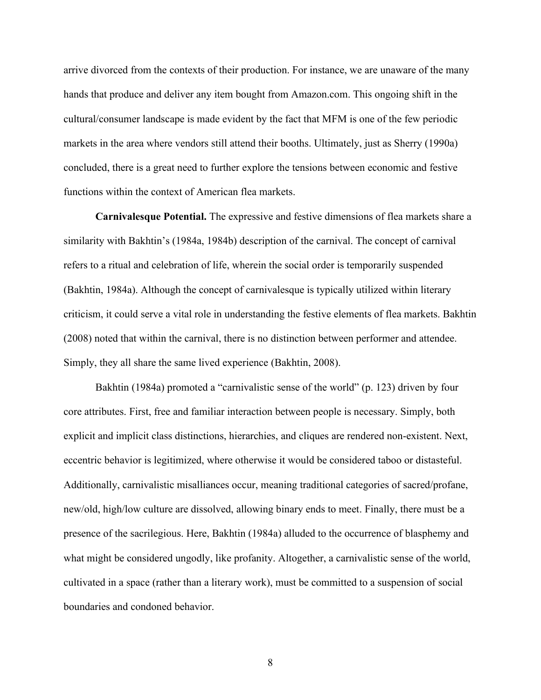arrive divorced from the contexts of their production. For instance, we are unaware of the many hands that produce and deliver any item bought from Amazon.com. This ongoing shift in the cultural/consumer landscape is made evident by the fact that MFM is one of the few periodic markets in the area where vendors still attend their booths. Ultimately, just as Sherry (1990a) concluded, there is a great need to further explore the tensions between economic and festive functions within the context of American flea markets.

**Carnivalesque Potential.** The expressive and festive dimensions of flea markets share a similarity with Bakhtin's (1984a, 1984b) description of the carnival. The concept of carnival refers to a ritual and celebration of life, wherein the social order is temporarily suspended (Bakhtin, 1984a). Although the concept of carnivalesque is typically utilized within literary criticism, it could serve a vital role in understanding the festive elements of flea markets. Bakhtin (2008) noted that within the carnival, there is no distinction between performer and attendee. Simply, they all share the same lived experience (Bakhtin, 2008).

Bakhtin (1984a) promoted a "carnivalistic sense of the world" (p. 123) driven by four core attributes. First, free and familiar interaction between people is necessary. Simply, both explicit and implicit class distinctions, hierarchies, and cliques are rendered non-existent. Next, eccentric behavior is legitimized, where otherwise it would be considered taboo or distasteful. Additionally, carnivalistic misalliances occur, meaning traditional categories of sacred/profane, new/old, high/low culture are dissolved, allowing binary ends to meet. Finally, there must be a presence of the sacrilegious. Here, Bakhtin (1984a) alluded to the occurrence of blasphemy and what might be considered ungodly, like profanity. Altogether, a carnivalistic sense of the world, cultivated in a space (rather than a literary work), must be committed to a suspension of social boundaries and condoned behavior.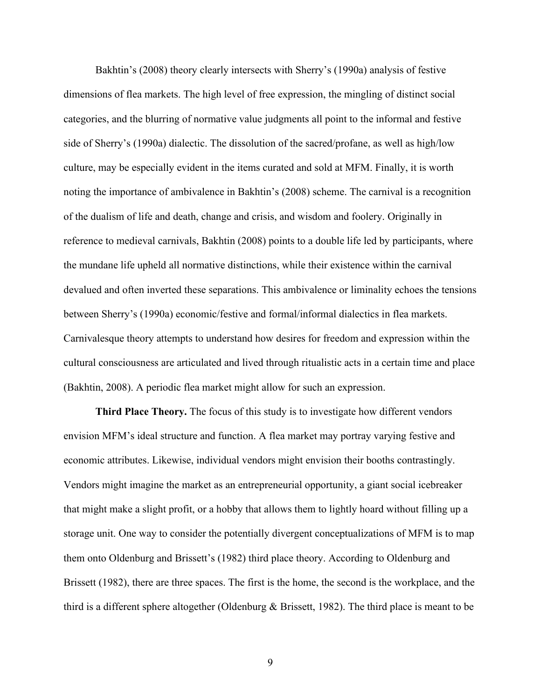Bakhtin's (2008) theory clearly intersects with Sherry's (1990a) analysis of festive dimensions of flea markets. The high level of free expression, the mingling of distinct social categories, and the blurring of normative value judgments all point to the informal and festive side of Sherry's (1990a) dialectic. The dissolution of the sacred/profane, as well as high/low culture, may be especially evident in the items curated and sold at MFM. Finally, it is worth noting the importance of ambivalence in Bakhtin's (2008) scheme. The carnival is a recognition of the dualism of life and death, change and crisis, and wisdom and foolery. Originally in reference to medieval carnivals, Bakhtin (2008) points to a double life led by participants, where the mundane life upheld all normative distinctions, while their existence within the carnival devalued and often inverted these separations. This ambivalence or liminality echoes the tensions between Sherry's (1990a) economic/festive and formal/informal dialectics in flea markets. Carnivalesque theory attempts to understand how desires for freedom and expression within the cultural consciousness are articulated and lived through ritualistic acts in a certain time and place (Bakhtin, 2008). A periodic flea market might allow for such an expression.

**Third Place Theory.** The focus of this study is to investigate how different vendors envision MFM's ideal structure and function. A flea market may portray varying festive and economic attributes. Likewise, individual vendors might envision their booths contrastingly. Vendors might imagine the market as an entrepreneurial opportunity, a giant social icebreaker that might make a slight profit, or a hobby that allows them to lightly hoard without filling up a storage unit. One way to consider the potentially divergent conceptualizations of MFM is to map them onto Oldenburg and Brissett's (1982) third place theory. According to Oldenburg and Brissett (1982), there are three spaces. The first is the home, the second is the workplace, and the third is a different sphere altogether (Oldenburg & Brissett, 1982). The third place is meant to be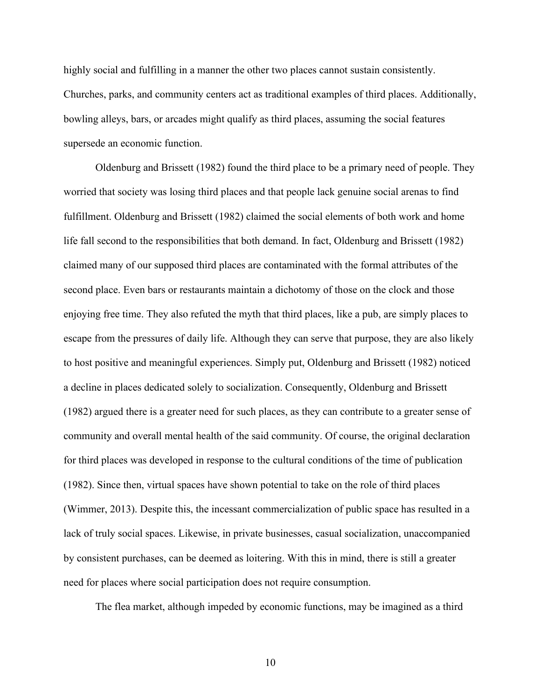highly social and fulfilling in a manner the other two places cannot sustain consistently. Churches, parks, and community centers act as traditional examples of third places. Additionally, bowling alleys, bars, or arcades might qualify as third places, assuming the social features supersede an economic function.

Oldenburg and Brissett (1982) found the third place to be a primary need of people. They worried that society was losing third places and that people lack genuine social arenas to find fulfillment. Oldenburg and Brissett (1982) claimed the social elements of both work and home life fall second to the responsibilities that both demand. In fact, Oldenburg and Brissett (1982) claimed many of our supposed third places are contaminated with the formal attributes of the second place. Even bars or restaurants maintain a dichotomy of those on the clock and those enjoying free time. They also refuted the myth that third places, like a pub, are simply places to escape from the pressures of daily life. Although they can serve that purpose, they are also likely to host positive and meaningful experiences. Simply put, Oldenburg and Brissett (1982) noticed a decline in places dedicated solely to socialization. Consequently, Oldenburg and Brissett (1982) argued there is a greater need for such places, as they can contribute to a greater sense of community and overall mental health of the said community. Of course, the original declaration for third places was developed in response to the cultural conditions of the time of publication (1982). Since then, virtual spaces have shown potential to take on the role of third places (Wimmer, 2013). Despite this, the incessant commercialization of public space has resulted in a lack of truly social spaces. Likewise, in private businesses, casual socialization, unaccompanied by consistent purchases, can be deemed as loitering. With this in mind, there is still a greater need for places where social participation does not require consumption.

The flea market, although impeded by economic functions, may be imagined as a third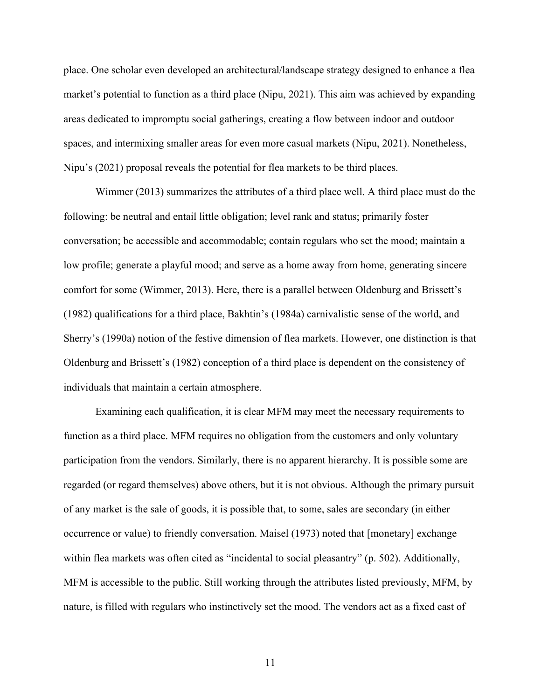place. One scholar even developed an architectural/landscape strategy designed to enhance a flea market's potential to function as a third place (Nipu, 2021). This aim was achieved by expanding areas dedicated to impromptu social gatherings, creating a flow between indoor and outdoor spaces, and intermixing smaller areas for even more casual markets (Nipu, 2021). Nonetheless, Nipu's (2021) proposal reveals the potential for flea markets to be third places.

Wimmer (2013) summarizes the attributes of a third place well. A third place must do the following: be neutral and entail little obligation; level rank and status; primarily foster conversation; be accessible and accommodable; contain regulars who set the mood; maintain a low profile; generate a playful mood; and serve as a home away from home, generating sincere comfort for some (Wimmer, 2013). Here, there is a parallel between Oldenburg and Brissett's (1982) qualifications for a third place, Bakhtin's (1984a) carnivalistic sense of the world, and Sherry's (1990a) notion of the festive dimension of flea markets. However, one distinction is that Oldenburg and Brissett's (1982) conception of a third place is dependent on the consistency of individuals that maintain a certain atmosphere.

Examining each qualification, it is clear MFM may meet the necessary requirements to function as a third place. MFM requires no obligation from the customers and only voluntary participation from the vendors. Similarly, there is no apparent hierarchy. It is possible some are regarded (or regard themselves) above others, but it is not obvious. Although the primary pursuit of any market is the sale of goods, it is possible that, to some, sales are secondary (in either occurrence or value) to friendly conversation. Maisel (1973) noted that [monetary] exchange within flea markets was often cited as "incidental to social pleasantry" (p. 502). Additionally, MFM is accessible to the public. Still working through the attributes listed previously, MFM, by nature, is filled with regulars who instinctively set the mood. The vendors act as a fixed cast of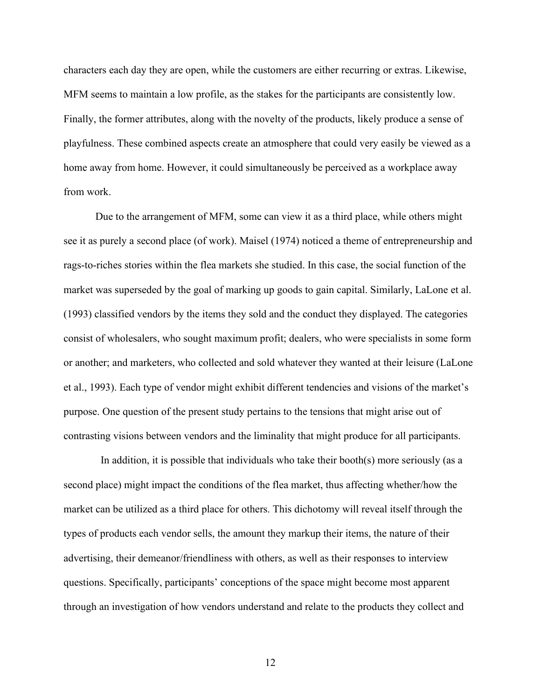characters each day they are open, while the customers are either recurring or extras. Likewise, MFM seems to maintain a low profile, as the stakes for the participants are consistently low. Finally, the former attributes, along with the novelty of the products, likely produce a sense of playfulness. These combined aspects create an atmosphere that could very easily be viewed as a home away from home. However, it could simultaneously be perceived as a workplace away from work.

Due to the arrangement of MFM, some can view it as a third place, while others might see it as purely a second place (of work). Maisel (1974) noticed a theme of entrepreneurship and rags-to-riches stories within the flea markets she studied. In this case, the social function of the market was superseded by the goal of marking up goods to gain capital. Similarly, LaLone et al. (1993) classified vendors by the items they sold and the conduct they displayed. The categories consist of wholesalers, who sought maximum profit; dealers, who were specialists in some form or another; and marketers, who collected and sold whatever they wanted at their leisure (LaLone et al., 1993). Each type of vendor might exhibit different tendencies and visions of the market's purpose. One question of the present study pertains to the tensions that might arise out of contrasting visions between vendors and the liminality that might produce for all participants.

In addition, it is possible that individuals who take their booth(s) more seriously (as a second place) might impact the conditions of the flea market, thus affecting whether/how the market can be utilized as a third place for others. This dichotomy will reveal itself through the types of products each vendor sells, the amount they markup their items, the nature of their advertising, their demeanor/friendliness with others, as well as their responses to interview questions. Specifically, participants' conceptions of the space might become most apparent through an investigation of how vendors understand and relate to the products they collect and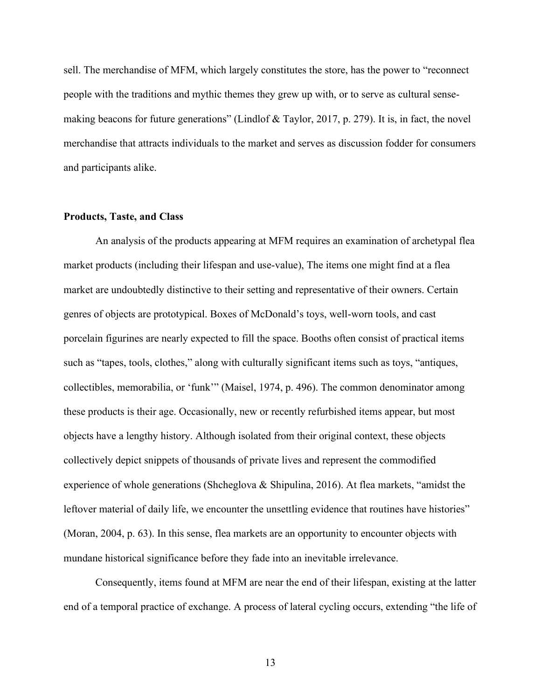sell. The merchandise of MFM, which largely constitutes the store, has the power to "reconnect people with the traditions and mythic themes they grew up with, or to serve as cultural sensemaking beacons for future generations" (Lindlof & Taylor, 2017, p. 279). It is, in fact, the novel merchandise that attracts individuals to the market and serves as discussion fodder for consumers and participants alike.

#### **Products, Taste, and Class**

An analysis of the products appearing at MFM requires an examination of archetypal flea market products (including their lifespan and use-value), The items one might find at a flea market are undoubtedly distinctive to their setting and representative of their owners. Certain genres of objects are prototypical. Boxes of McDonald's toys, well-worn tools, and cast porcelain figurines are nearly expected to fill the space. Booths often consist of practical items such as "tapes, tools, clothes," along with culturally significant items such as toys, "antiques, collectibles, memorabilia, or 'funk'" (Maisel, 1974, p. 496). The common denominator among these products is their age. Occasionally, new or recently refurbished items appear, but most objects have a lengthy history. Although isolated from their original context, these objects collectively depict snippets of thousands of private lives and represent the commodified experience of whole generations (Shcheglova & Shipulina, 2016). At flea markets, "amidst the leftover material of daily life, we encounter the unsettling evidence that routines have histories" (Moran, 2004, p. 63). In this sense, flea markets are an opportunity to encounter objects with mundane historical significance before they fade into an inevitable irrelevance.

Consequently, items found at MFM are near the end of their lifespan, existing at the latter end of a temporal practice of exchange. A process of lateral cycling occurs, extending "the life of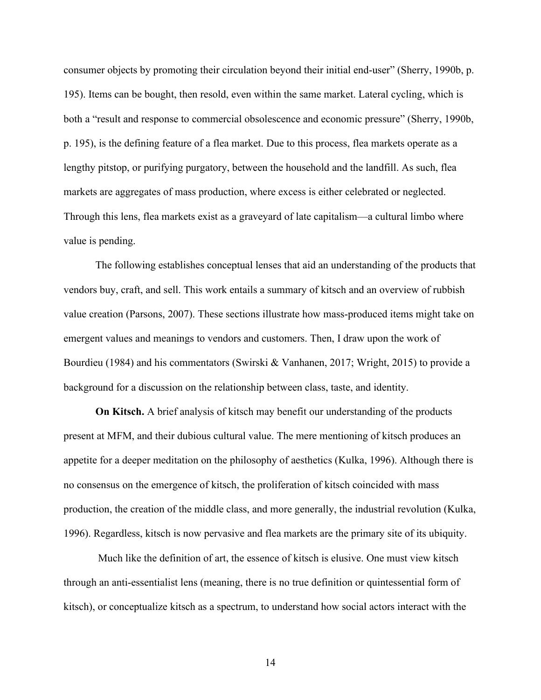consumer objects by promoting their circulation beyond their initial end-user" (Sherry, 1990b, p. 195). Items can be bought, then resold, even within the same market. Lateral cycling, which is both a "result and response to commercial obsolescence and economic pressure" (Sherry, 1990b, p. 195), is the defining feature of a flea market. Due to this process, flea markets operate as a lengthy pitstop, or purifying purgatory, between the household and the landfill. As such, flea markets are aggregates of mass production, where excess is either celebrated or neglected. Through this lens, flea markets exist as a graveyard of late capitalism—a cultural limbo where value is pending.

The following establishes conceptual lenses that aid an understanding of the products that vendors buy, craft, and sell. This work entails a summary of kitsch and an overview of rubbish value creation (Parsons, 2007). These sections illustrate how mass-produced items might take on emergent values and meanings to vendors and customers. Then, I draw upon the work of Bourdieu (1984) and his commentators (Swirski & Vanhanen, 2017; Wright, 2015) to provide a background for a discussion on the relationship between class, taste, and identity.

**On Kitsch.** A brief analysis of kitsch may benefit our understanding of the products present at MFM, and their dubious cultural value. The mere mentioning of kitsch produces an appetite for a deeper meditation on the philosophy of aesthetics (Kulka, 1996). Although there is no consensus on the emergence of kitsch, the proliferation of kitsch coincided with mass production, the creation of the middle class, and more generally, the industrial revolution (Kulka, 1996). Regardless, kitsch is now pervasive and flea markets are the primary site of its ubiquity.

Much like the definition of art, the essence of kitsch is elusive. One must view kitsch through an anti-essentialist lens (meaning, there is no true definition or quintessential form of kitsch), or conceptualize kitsch as a spectrum, to understand how social actors interact with the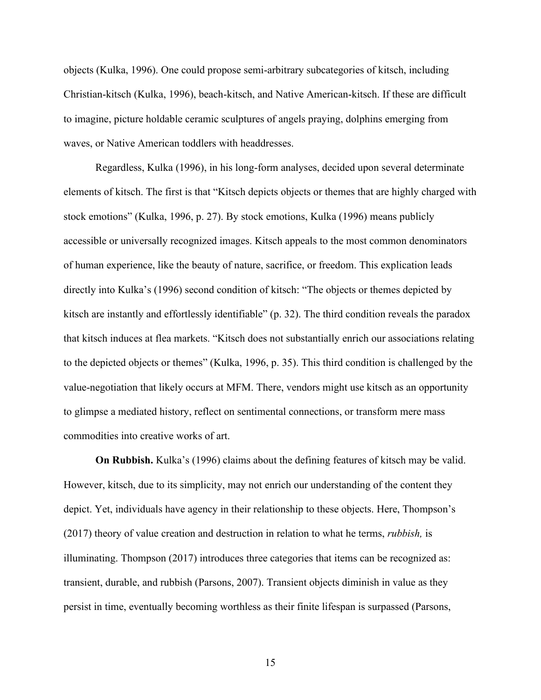objects (Kulka, 1996). One could propose semi-arbitrary subcategories of kitsch, including Christian-kitsch (Kulka, 1996), beach-kitsch, and Native American-kitsch. If these are difficult to imagine, picture holdable ceramic sculptures of angels praying, dolphins emerging from waves, or Native American toddlers with headdresses.

Regardless, Kulka (1996), in his long-form analyses, decided upon several determinate elements of kitsch. The first is that "Kitsch depicts objects or themes that are highly charged with stock emotions" (Kulka, 1996, p. 27). By stock emotions, Kulka (1996) means publicly accessible or universally recognized images. Kitsch appeals to the most common denominators of human experience, like the beauty of nature, sacrifice, or freedom. This explication leads directly into Kulka's (1996) second condition of kitsch: "The objects or themes depicted by kitsch are instantly and effortlessly identifiable" (p. 32). The third condition reveals the paradox that kitsch induces at flea markets. "Kitsch does not substantially enrich our associations relating to the depicted objects or themes" (Kulka, 1996, p. 35). This third condition is challenged by the value-negotiation that likely occurs at MFM. There, vendors might use kitsch as an opportunity to glimpse a mediated history, reflect on sentimental connections, or transform mere mass commodities into creative works of art.

**On Rubbish.** Kulka's (1996) claims about the defining features of kitsch may be valid. However, kitsch, due to its simplicity, may not enrich our understanding of the content they depict. Yet, individuals have agency in their relationship to these objects. Here, Thompson's (2017) theory of value creation and destruction in relation to what he terms, *rubbish,* is illuminating. Thompson (2017) introduces three categories that items can be recognized as: transient, durable, and rubbish (Parsons, 2007). Transient objects diminish in value as they persist in time, eventually becoming worthless as their finite lifespan is surpassed (Parsons,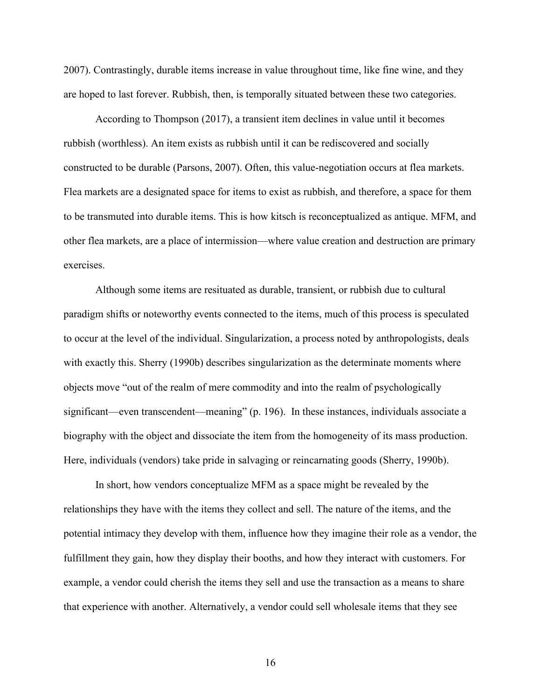2007). Contrastingly, durable items increase in value throughout time, like fine wine, and they are hoped to last forever. Rubbish, then, is temporally situated between these two categories.

According to Thompson (2017), a transient item declines in value until it becomes rubbish (worthless). An item exists as rubbish until it can be rediscovered and socially constructed to be durable (Parsons, 2007). Often, this value-negotiation occurs at flea markets. Flea markets are a designated space for items to exist as rubbish, and therefore, a space for them to be transmuted into durable items. This is how kitsch is reconceptualized as antique. MFM, and other flea markets, are a place of intermission—where value creation and destruction are primary exercises.

Although some items are resituated as durable, transient, or rubbish due to cultural paradigm shifts or noteworthy events connected to the items, much of this process is speculated to occur at the level of the individual. Singularization, a process noted by anthropologists, deals with exactly this. Sherry (1990b) describes singularization as the determinate moments where objects move "out of the realm of mere commodity and into the realm of psychologically significant—even transcendent—meaning" (p. 196). In these instances, individuals associate a biography with the object and dissociate the item from the homogeneity of its mass production. Here, individuals (vendors) take pride in salvaging or reincarnating goods (Sherry, 1990b).

In short, how vendors conceptualize MFM as a space might be revealed by the relationships they have with the items they collect and sell. The nature of the items, and the potential intimacy they develop with them, influence how they imagine their role as a vendor, the fulfillment they gain, how they display their booths, and how they interact with customers. For example, a vendor could cherish the items they sell and use the transaction as a means to share that experience with another. Alternatively, a vendor could sell wholesale items that they see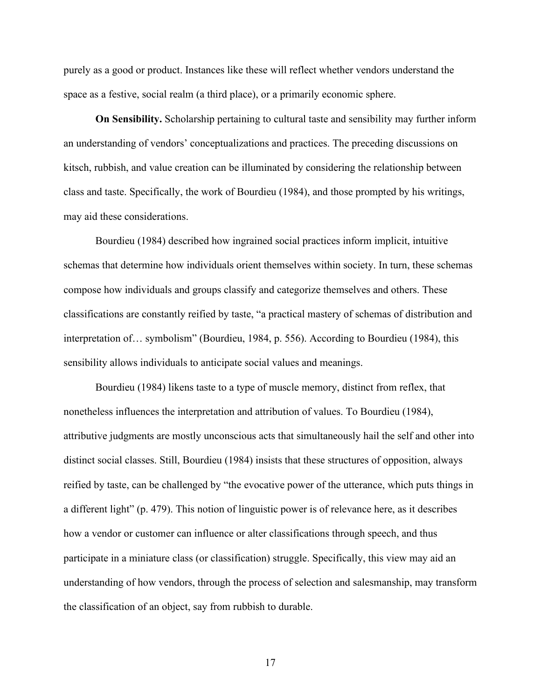purely as a good or product. Instances like these will reflect whether vendors understand the space as a festive, social realm (a third place), or a primarily economic sphere.

**On Sensibility.** Scholarship pertaining to cultural taste and sensibility may further inform an understanding of vendors' conceptualizations and practices. The preceding discussions on kitsch, rubbish, and value creation can be illuminated by considering the relationship between class and taste. Specifically, the work of Bourdieu (1984), and those prompted by his writings, may aid these considerations.

Bourdieu (1984) described how ingrained social practices inform implicit, intuitive schemas that determine how individuals orient themselves within society. In turn, these schemas compose how individuals and groups classify and categorize themselves and others. These classifications are constantly reified by taste, "a practical mastery of schemas of distribution and interpretation of… symbolism" (Bourdieu, 1984, p. 556). According to Bourdieu (1984), this sensibility allows individuals to anticipate social values and meanings.

Bourdieu (1984) likens taste to a type of muscle memory, distinct from reflex, that nonetheless influences the interpretation and attribution of values. To Bourdieu (1984), attributive judgments are mostly unconscious acts that simultaneously hail the self and other into distinct social classes. Still, Bourdieu (1984) insists that these structures of opposition, always reified by taste, can be challenged by "the evocative power of the utterance, which puts things in a different light" (p. 479). This notion of linguistic power is of relevance here, as it describes how a vendor or customer can influence or alter classifications through speech, and thus participate in a miniature class (or classification) struggle. Specifically, this view may aid an understanding of how vendors, through the process of selection and salesmanship, may transform the classification of an object, say from rubbish to durable.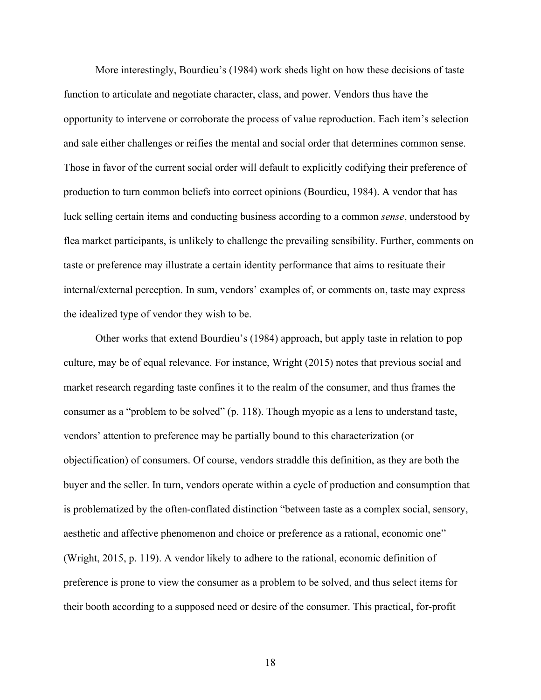More interestingly, Bourdieu's (1984) work sheds light on how these decisions of taste function to articulate and negotiate character, class, and power. Vendors thus have the opportunity to intervene or corroborate the process of value reproduction. Each item's selection and sale either challenges or reifies the mental and social order that determines common sense. Those in favor of the current social order will default to explicitly codifying their preference of production to turn common beliefs into correct opinions (Bourdieu, 1984). A vendor that has luck selling certain items and conducting business according to a common *sense*, understood by flea market participants, is unlikely to challenge the prevailing sensibility. Further, comments on taste or preference may illustrate a certain identity performance that aims to resituate their internal/external perception. In sum, vendors' examples of, or comments on, taste may express the idealized type of vendor they wish to be.

Other works that extend Bourdieu's (1984) approach, but apply taste in relation to pop culture, may be of equal relevance. For instance, Wright (2015) notes that previous social and market research regarding taste confines it to the realm of the consumer, and thus frames the consumer as a "problem to be solved" (p. 118). Though myopic as a lens to understand taste, vendors' attention to preference may be partially bound to this characterization (or objectification) of consumers. Of course, vendors straddle this definition, as they are both the buyer and the seller. In turn, vendors operate within a cycle of production and consumption that is problematized by the often-conflated distinction "between taste as a complex social, sensory, aesthetic and affective phenomenon and choice or preference as a rational, economic one" (Wright, 2015, p. 119). A vendor likely to adhere to the rational, economic definition of preference is prone to view the consumer as a problem to be solved, and thus select items for their booth according to a supposed need or desire of the consumer. This practical, for-profit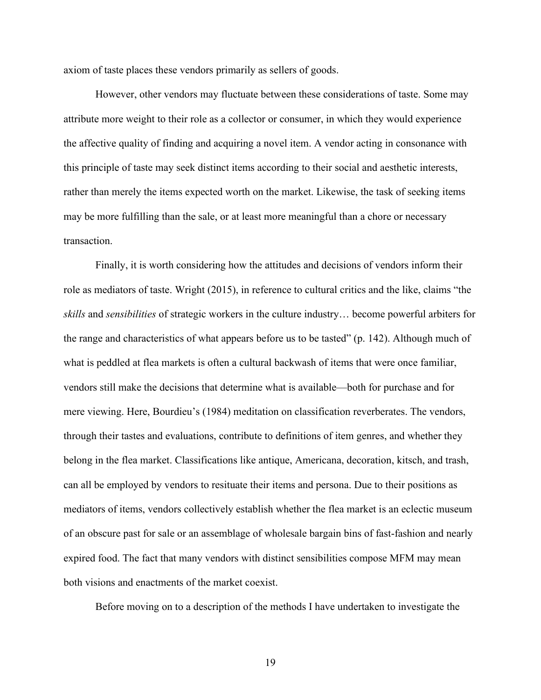axiom of taste places these vendors primarily as sellers of goods.

However, other vendors may fluctuate between these considerations of taste. Some may attribute more weight to their role as a collector or consumer, in which they would experience the affective quality of finding and acquiring a novel item. A vendor acting in consonance with this principle of taste may seek distinct items according to their social and aesthetic interests, rather than merely the items expected worth on the market. Likewise, the task of seeking items may be more fulfilling than the sale, or at least more meaningful than a chore or necessary transaction.

Finally, it is worth considering how the attitudes and decisions of vendors inform their role as mediators of taste. Wright (2015), in reference to cultural critics and the like, claims "the *skills* and *sensibilities* of strategic workers in the culture industry… become powerful arbiters for the range and characteristics of what appears before us to be tasted" (p. 142). Although much of what is peddled at flea markets is often a cultural backwash of items that were once familiar, vendors still make the decisions that determine what is available—both for purchase and for mere viewing. Here, Bourdieu's (1984) meditation on classification reverberates. The vendors, through their tastes and evaluations, contribute to definitions of item genres, and whether they belong in the flea market. Classifications like antique, Americana, decoration, kitsch, and trash, can all be employed by vendors to resituate their items and persona. Due to their positions as mediators of items, vendors collectively establish whether the flea market is an eclectic museum of an obscure past for sale or an assemblage of wholesale bargain bins of fast-fashion and nearly expired food. The fact that many vendors with distinct sensibilities compose MFM may mean both visions and enactments of the market coexist.

Before moving on to a description of the methods I have undertaken to investigate the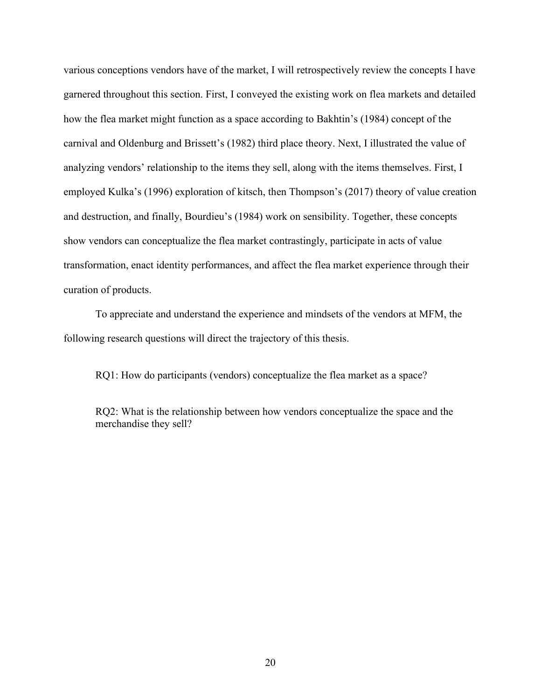various conceptions vendors have of the market, I will retrospectively review the concepts I have garnered throughout this section. First, I conveyed the existing work on flea markets and detailed how the flea market might function as a space according to Bakhtin's (1984) concept of the carnival and Oldenburg and Brissett's (1982) third place theory. Next, I illustrated the value of analyzing vendors' relationship to the items they sell, along with the items themselves. First, I employed Kulka's (1996) exploration of kitsch, then Thompson's (2017) theory of value creation and destruction, and finally, Bourdieu's (1984) work on sensibility. Together, these concepts show vendors can conceptualize the flea market contrastingly, participate in acts of value transformation, enact identity performances, and affect the flea market experience through their curation of products.

To appreciate and understand the experience and mindsets of the vendors at MFM, the following research questions will direct the trajectory of this thesis.

RQ1: How do participants (vendors) conceptualize the flea market as a space?

RQ2: What is the relationship between how vendors conceptualize the space and the merchandise they sell?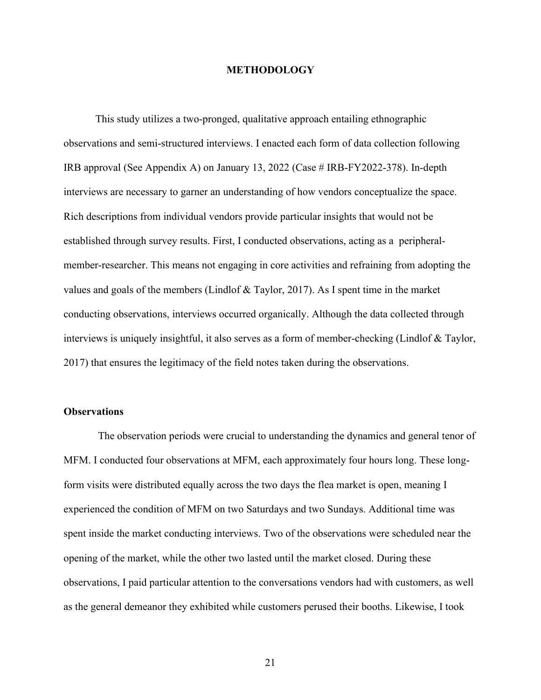#### **METHODOLOGY**

This study utilizes a two-pronged, qualitative approach entailing ethnographic observations and semi-structured interviews. I enacted each form of data collection following IRB approval (See Appendix A) on January 13, 2022 (Case # IRB-FY2022-378). In-depth interviews are necessary to garner an understanding of how vendors conceptualize the space. Rich descriptions from individual vendors provide particular insights that would not be established through survey results. First, I conducted observations, acting as a peripheralmember-researcher. This means not engaging in core activities and refraining from adopting the values and goals of the members (Lindlof & Taylor, 2017). As I spent time in the market conducting observations, interviews occurred organically. Although the data collected through interviews is uniquely insightful, it also serves as a form of member-checking (Lindlof & Taylor, 2017) that ensures the legitimacy of the field notes taken during the observations.

#### **Observations**

The observation periods were crucial to understanding the dynamics and general tenor of MFM. I conducted four observations at MFM, each approximately four hours long. These longform visits were distributed equally across the two days the flea market is open, meaning I experienced the condition of MFM on two Saturdays and two Sundays. Additional time was spent inside the market conducting interviews. Two of the observations were scheduled near the opening of the market, while the other two lasted until the market closed. During these observations, I paid particular attention to the conversations vendors had with customers, as well as the general demeanor they exhibited while customers perused their booths. Likewise, I took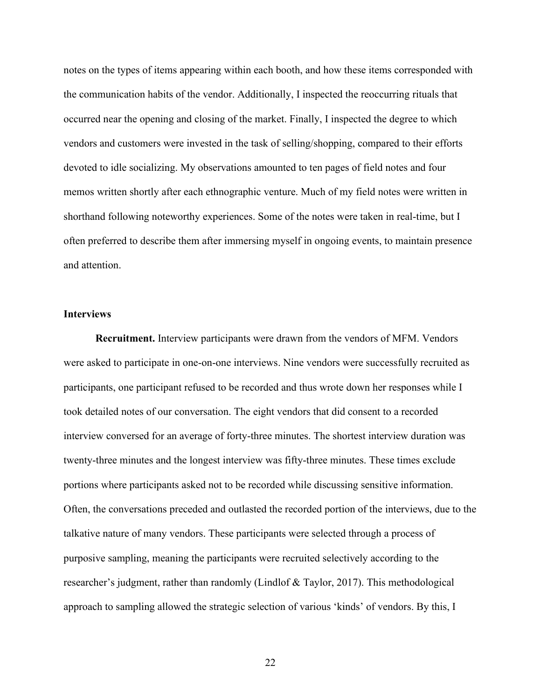notes on the types of items appearing within each booth, and how these items corresponded with the communication habits of the vendor. Additionally, I inspected the reoccurring rituals that occurred near the opening and closing of the market. Finally, I inspected the degree to which vendors and customers were invested in the task of selling/shopping, compared to their efforts devoted to idle socializing. My observations amounted to ten pages of field notes and four memos written shortly after each ethnographic venture. Much of my field notes were written in shorthand following noteworthy experiences. Some of the notes were taken in real-time, but I often preferred to describe them after immersing myself in ongoing events, to maintain presence and attention.

#### **Interviews**

**Recruitment.** Interview participants were drawn from the vendors of MFM. Vendors were asked to participate in one-on-one interviews. Nine vendors were successfully recruited as participants, one participant refused to be recorded and thus wrote down her responses while I took detailed notes of our conversation. The eight vendors that did consent to a recorded interview conversed for an average of forty-three minutes. The shortest interview duration was twenty-three minutes and the longest interview was fifty-three minutes. These times exclude portions where participants asked not to be recorded while discussing sensitive information. Often, the conversations preceded and outlasted the recorded portion of the interviews, due to the talkative nature of many vendors. These participants were selected through a process of purposive sampling, meaning the participants were recruited selectively according to the researcher's judgment, rather than randomly (Lindlof & Taylor, 2017). This methodological approach to sampling allowed the strategic selection of various 'kinds' of vendors. By this, I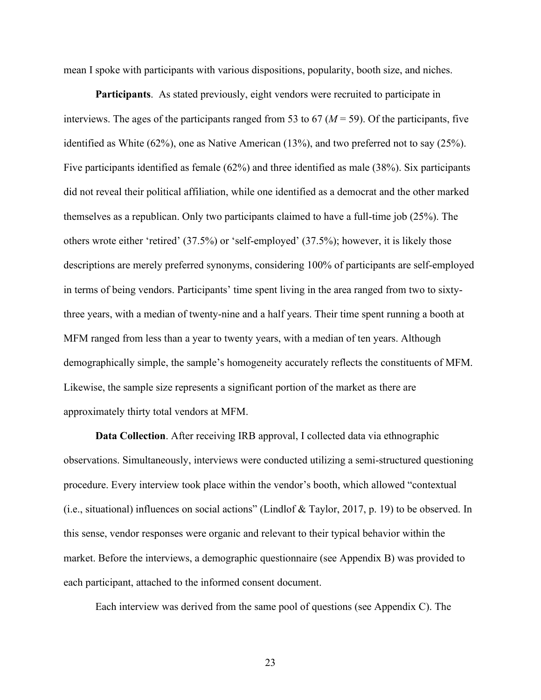mean I spoke with participants with various dispositions, popularity, booth size, and niches.

**Participants**. As stated previously, eight vendors were recruited to participate in interviews. The ages of the participants ranged from 53 to  $67 (M = 59)$ . Of the participants, five identified as White (62%), one as Native American (13%), and two preferred not to say (25%). Five participants identified as female (62%) and three identified as male (38%). Six participants did not reveal their political affiliation, while one identified as a democrat and the other marked themselves as a republican. Only two participants claimed to have a full-time job (25%). The others wrote either 'retired' (37.5%) or 'self-employed' (37.5%); however, it is likely those descriptions are merely preferred synonyms, considering 100% of participants are self-employed in terms of being vendors. Participants' time spent living in the area ranged from two to sixtythree years, with a median of twenty-nine and a half years. Their time spent running a booth at MFM ranged from less than a year to twenty years, with a median of ten years. Although demographically simple, the sample's homogeneity accurately reflects the constituents of MFM. Likewise, the sample size represents a significant portion of the market as there are approximately thirty total vendors at MFM.

**Data Collection**. After receiving IRB approval, I collected data via ethnographic observations. Simultaneously, interviews were conducted utilizing a semi-structured questioning procedure. Every interview took place within the vendor's booth, which allowed "contextual (i.e., situational) influences on social actions" (Lindlof & Taylor, 2017, p. 19) to be observed. In this sense, vendor responses were organic and relevant to their typical behavior within the market. Before the interviews, a demographic questionnaire (see Appendix B) was provided to each participant, attached to the informed consent document.

Each interview was derived from the same pool of questions (see Appendix C). The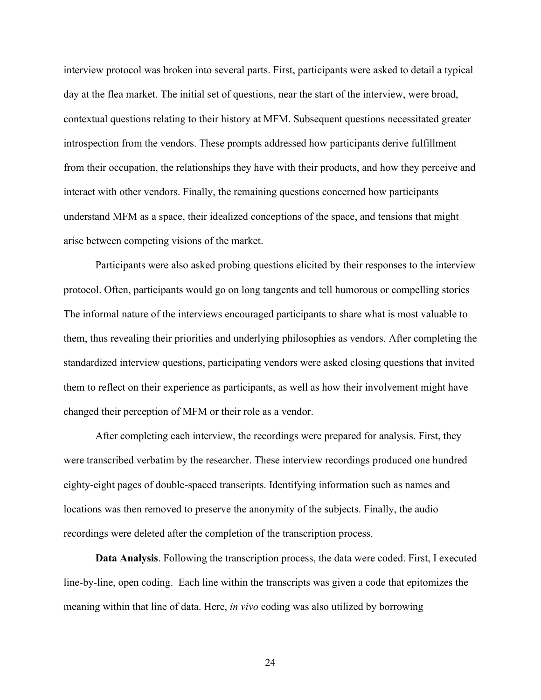interview protocol was broken into several parts. First, participants were asked to detail a typical day at the flea market. The initial set of questions, near the start of the interview, were broad, contextual questions relating to their history at MFM. Subsequent questions necessitated greater introspection from the vendors. These prompts addressed how participants derive fulfillment from their occupation, the relationships they have with their products, and how they perceive and interact with other vendors. Finally, the remaining questions concerned how participants understand MFM as a space, their idealized conceptions of the space, and tensions that might arise between competing visions of the market.

Participants were also asked probing questions elicited by their responses to the interview protocol. Often, participants would go on long tangents and tell humorous or compelling stories The informal nature of the interviews encouraged participants to share what is most valuable to them, thus revealing their priorities and underlying philosophies as vendors. After completing the standardized interview questions, participating vendors were asked closing questions that invited them to reflect on their experience as participants, as well as how their involvement might have changed their perception of MFM or their role as a vendor.

After completing each interview, the recordings were prepared for analysis. First, they were transcribed verbatim by the researcher. These interview recordings produced one hundred eighty-eight pages of double-spaced transcripts. Identifying information such as names and locations was then removed to preserve the anonymity of the subjects. Finally, the audio recordings were deleted after the completion of the transcription process.

**Data Analysis**. Following the transcription process, the data were coded. First, I executed line-by-line, open coding. Each line within the transcripts was given a code that epitomizes the meaning within that line of data. Here, *in vivo* coding was also utilized by borrowing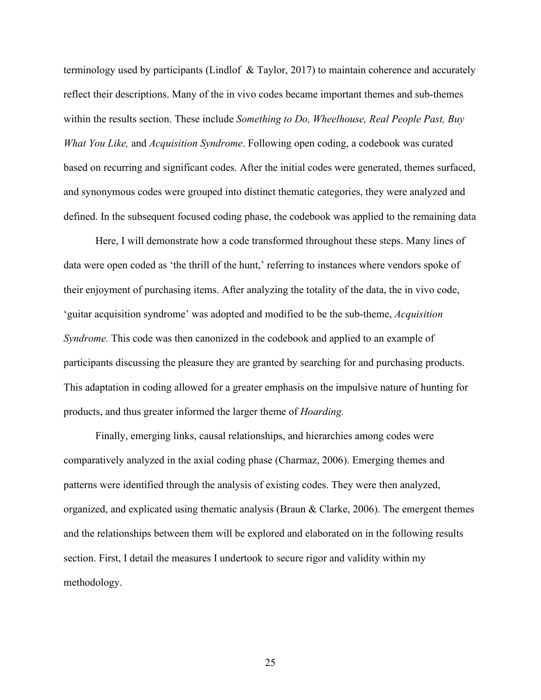terminology used by participants (Lindlof & Taylor, 2017) to maintain coherence and accurately reflect their descriptions. Many of the in vivo codes became important themes and sub-themes within the results section. These include *Something to Do, Wheelhouse, Real People Past, Buy What You Like,* and *Acquisition Syndrome*. Following open coding, a codebook was curated based on recurring and significant codes. After the initial codes were generated, themes surfaced, and synonymous codes were grouped into distinct thematic categories, they were analyzed and defined. In the subsequent focused coding phase, the codebook was applied to the remaining data

Here, I will demonstrate how a code transformed throughout these steps. Many lines of data were open coded as 'the thrill of the hunt,' referring to instances where vendors spoke of their enjoyment of purchasing items. After analyzing the totality of the data, the in vivo code, 'guitar acquisition syndrome' was adopted and modified to be the sub-theme, *Acquisition Syndrome.* This code was then canonized in the codebook and applied to an example of participants discussing the pleasure they are granted by searching for and purchasing products. This adaptation in coding allowed for a greater emphasis on the impulsive nature of hunting for products, and thus greater informed the larger theme of *Hoarding.*

Finally, emerging links, causal relationships, and hierarchies among codes were comparatively analyzed in the axial coding phase (Charmaz, 2006). Emerging themes and patterns were identified through the analysis of existing codes. They were then analyzed, organized, and explicated using thematic analysis (Braun & Clarke, 2006). The emergent themes and the relationships between them will be explored and elaborated on in the following results section. First, I detail the measures I undertook to secure rigor and validity within my methodology.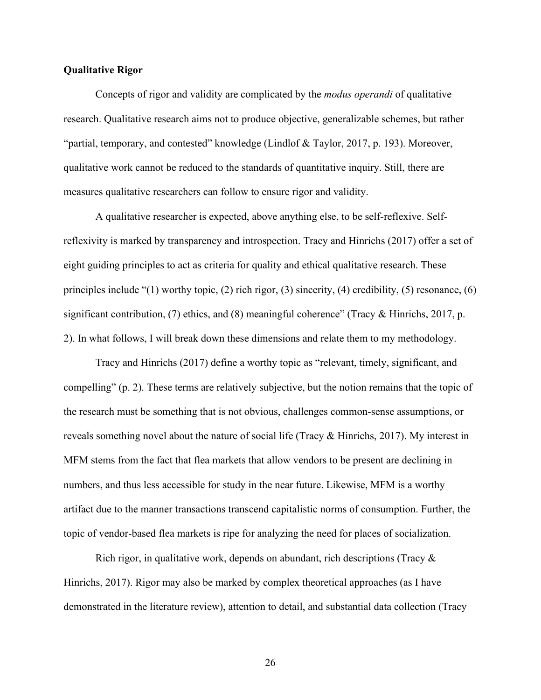#### **Qualitative Rigor**

Concepts of rigor and validity are complicated by the *modus operandi* of qualitative research. Qualitative research aims not to produce objective, generalizable schemes, but rather "partial, temporary, and contested" knowledge (Lindlof & Taylor, 2017, p. 193). Moreover, qualitative work cannot be reduced to the standards of quantitative inquiry. Still, there are measures qualitative researchers can follow to ensure rigor and validity.

A qualitative researcher is expected, above anything else, to be self-reflexive. Selfreflexivity is marked by transparency and introspection. Tracy and Hinrichs (2017) offer a set of eight guiding principles to act as criteria for quality and ethical qualitative research. These principles include "(1) worthy topic, (2) rich rigor, (3) sincerity, (4) credibility, (5) resonance, (6) significant contribution, (7) ethics, and (8) meaningful coherence" (Tracy & Hinrichs, 2017, p. 2). In what follows, I will break down these dimensions and relate them to my methodology.

Tracy and Hinrichs (2017) define a worthy topic as "relevant, timely, significant, and compelling" (p. 2). These terms are relatively subjective, but the notion remains that the topic of the research must be something that is not obvious, challenges common-sense assumptions, or reveals something novel about the nature of social life (Tracy & Hinrichs, 2017). My interest in MFM stems from the fact that flea markets that allow vendors to be present are declining in numbers, and thus less accessible for study in the near future. Likewise, MFM is a worthy artifact due to the manner transactions transcend capitalistic norms of consumption. Further, the topic of vendor-based flea markets is ripe for analyzing the need for places of socialization.

Rich rigor, in qualitative work, depends on abundant, rich descriptions (Tracy  $\&$ Hinrichs, 2017). Rigor may also be marked by complex theoretical approaches (as I have demonstrated in the literature review), attention to detail, and substantial data collection (Tracy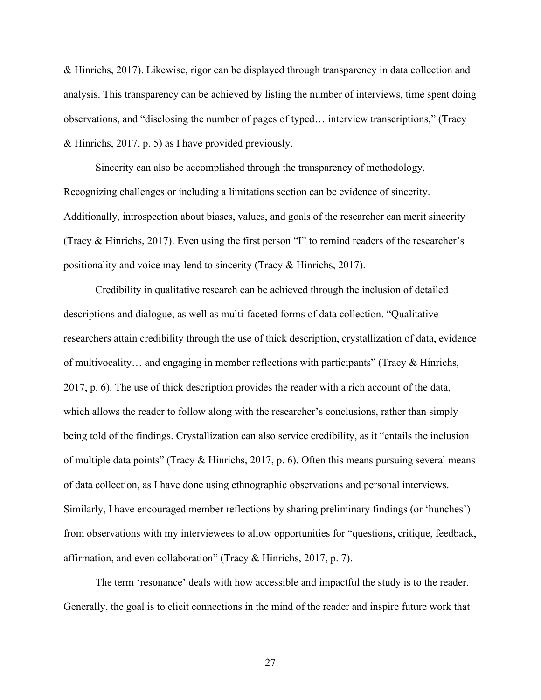& Hinrichs, 2017). Likewise, rigor can be displayed through transparency in data collection and analysis. This transparency can be achieved by listing the number of interviews, time spent doing observations, and "disclosing the number of pages of typed… interview transcriptions," (Tracy & Hinrichs, 2017, p. 5) as I have provided previously.

Sincerity can also be accomplished through the transparency of methodology. Recognizing challenges or including a limitations section can be evidence of sincerity. Additionally, introspection about biases, values, and goals of the researcher can merit sincerity (Tracy & Hinrichs, 2017). Even using the first person "I" to remind readers of the researcher's positionality and voice may lend to sincerity (Tracy & Hinrichs, 2017).

Credibility in qualitative research can be achieved through the inclusion of detailed descriptions and dialogue, as well as multi-faceted forms of data collection. "Qualitative researchers attain credibility through the use of thick description, crystallization of data, evidence of multivocality… and engaging in member reflections with participants" (Tracy & Hinrichs, 2017, p. 6). The use of thick description provides the reader with a rich account of the data, which allows the reader to follow along with the researcher's conclusions, rather than simply being told of the findings. Crystallization can also service credibility, as it "entails the inclusion of multiple data points" (Tracy & Hinrichs, 2017, p. 6). Often this means pursuing several means of data collection, as I have done using ethnographic observations and personal interviews. Similarly, I have encouraged member reflections by sharing preliminary findings (or 'hunches') from observations with my interviewees to allow opportunities for "questions, critique, feedback, affirmation, and even collaboration" (Tracy & Hinrichs, 2017, p. 7).

The term 'resonance' deals with how accessible and impactful the study is to the reader. Generally, the goal is to elicit connections in the mind of the reader and inspire future work that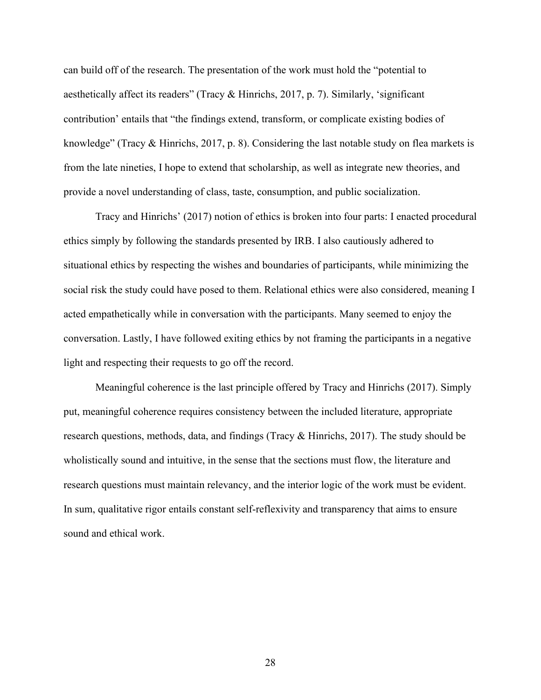can build off of the research. The presentation of the work must hold the "potential to aesthetically affect its readers" (Tracy & Hinrichs, 2017, p. 7). Similarly, 'significant contribution' entails that "the findings extend, transform, or complicate existing bodies of knowledge" (Tracy & Hinrichs, 2017, p. 8). Considering the last notable study on flea markets is from the late nineties, I hope to extend that scholarship, as well as integrate new theories, and provide a novel understanding of class, taste, consumption, and public socialization.

Tracy and Hinrichs' (2017) notion of ethics is broken into four parts: I enacted procedural ethics simply by following the standards presented by IRB. I also cautiously adhered to situational ethics by respecting the wishes and boundaries of participants, while minimizing the social risk the study could have posed to them. Relational ethics were also considered, meaning I acted empathetically while in conversation with the participants. Many seemed to enjoy the conversation. Lastly, I have followed exiting ethics by not framing the participants in a negative light and respecting their requests to go off the record.

Meaningful coherence is the last principle offered by Tracy and Hinrichs (2017). Simply put, meaningful coherence requires consistency between the included literature, appropriate research questions, methods, data, and findings (Tracy & Hinrichs, 2017). The study should be wholistically sound and intuitive, in the sense that the sections must flow, the literature and research questions must maintain relevancy, and the interior logic of the work must be evident. In sum, qualitative rigor entails constant self-reflexivity and transparency that aims to ensure sound and ethical work.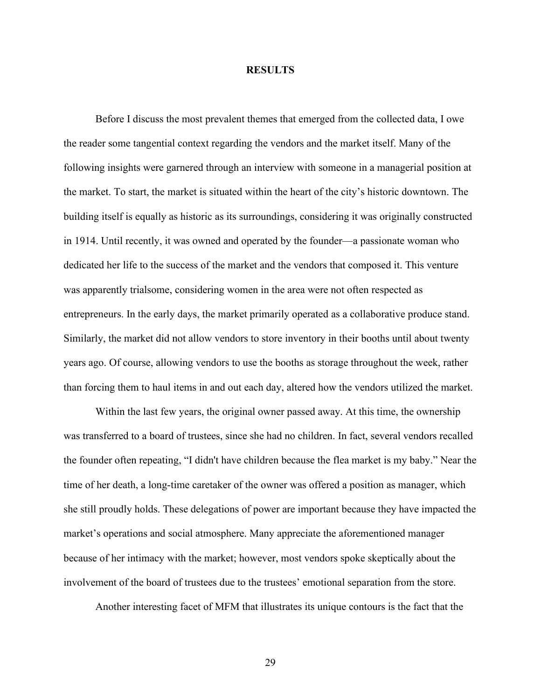#### **RESULTS**

Before I discuss the most prevalent themes that emerged from the collected data, I owe the reader some tangential context regarding the vendors and the market itself. Many of the following insights were garnered through an interview with someone in a managerial position at the market. To start, the market is situated within the heart of the city's historic downtown. The building itself is equally as historic as its surroundings, considering it was originally constructed in 1914. Until recently, it was owned and operated by the founder—a passionate woman who dedicated her life to the success of the market and the vendors that composed it. This venture was apparently trialsome, considering women in the area were not often respected as entrepreneurs. In the early days, the market primarily operated as a collaborative produce stand. Similarly, the market did not allow vendors to store inventory in their booths until about twenty years ago. Of course, allowing vendors to use the booths as storage throughout the week, rather than forcing them to haul items in and out each day, altered how the vendors utilized the market.

Within the last few years, the original owner passed away. At this time, the ownership was transferred to a board of trustees, since she had no children. In fact, several vendors recalled the founder often repeating, "I didn't have children because the flea market is my baby." Near the time of her death, a long-time caretaker of the owner was offered a position as manager, which she still proudly holds. These delegations of power are important because they have impacted the market's operations and social atmosphere. Many appreciate the aforementioned manager because of her intimacy with the market; however, most vendors spoke skeptically about the involvement of the board of trustees due to the trustees' emotional separation from the store.

Another interesting facet of MFM that illustrates its unique contours is the fact that the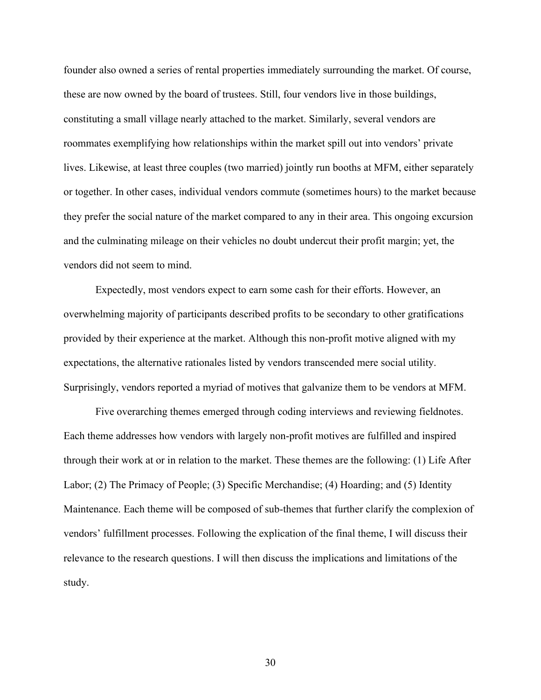founder also owned a series of rental properties immediately surrounding the market. Of course, these are now owned by the board of trustees. Still, four vendors live in those buildings, constituting a small village nearly attached to the market. Similarly, several vendors are roommates exemplifying how relationships within the market spill out into vendors' private lives. Likewise, at least three couples (two married) jointly run booths at MFM, either separately or together. In other cases, individual vendors commute (sometimes hours) to the market because they prefer the social nature of the market compared to any in their area. This ongoing excursion and the culminating mileage on their vehicles no doubt undercut their profit margin; yet, the vendors did not seem to mind.

Expectedly, most vendors expect to earn some cash for their efforts. However, an overwhelming majority of participants described profits to be secondary to other gratifications provided by their experience at the market. Although this non-profit motive aligned with my expectations, the alternative rationales listed by vendors transcended mere social utility. Surprisingly, vendors reported a myriad of motives that galvanize them to be vendors at MFM.

Five overarching themes emerged through coding interviews and reviewing fieldnotes. Each theme addresses how vendors with largely non-profit motives are fulfilled and inspired through their work at or in relation to the market. These themes are the following: (1) Life After Labor; (2) The Primacy of People; (3) Specific Merchandise; (4) Hoarding; and (5) Identity Maintenance. Each theme will be composed of sub-themes that further clarify the complexion of vendors' fulfillment processes. Following the explication of the final theme, I will discuss their relevance to the research questions. I will then discuss the implications and limitations of the study.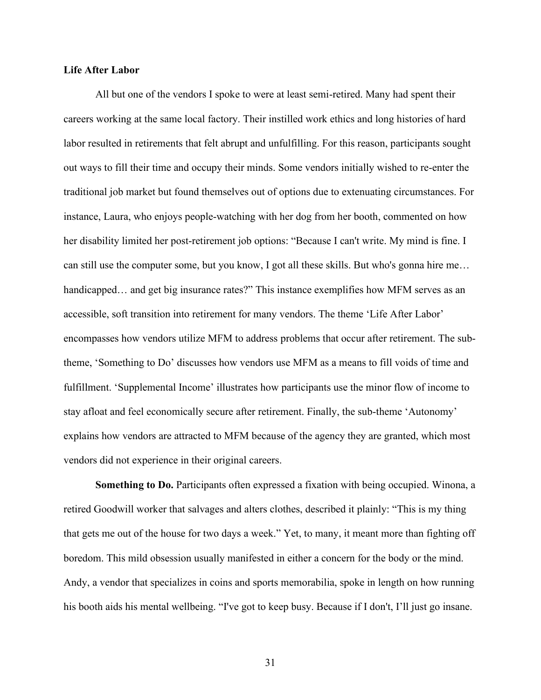### **Life After Labor**

All but one of the vendors I spoke to were at least semi-retired. Many had spent their careers working at the same local factory. Their instilled work ethics and long histories of hard labor resulted in retirements that felt abrupt and unfulfilling. For this reason, participants sought out ways to fill their time and occupy their minds. Some vendors initially wished to re-enter the traditional job market but found themselves out of options due to extenuating circumstances. For instance, Laura, who enjoys people-watching with her dog from her booth, commented on how her disability limited her post-retirement job options: "Because I can't write. My mind is fine. I can still use the computer some, but you know, I got all these skills. But who's gonna hire me… handicapped... and get big insurance rates?" This instance exemplifies how MFM serves as an accessible, soft transition into retirement for many vendors. The theme 'Life After Labor' encompasses how vendors utilize MFM to address problems that occur after retirement. The subtheme, 'Something to Do' discusses how vendors use MFM as a means to fill voids of time and fulfillment. 'Supplemental Income' illustrates how participants use the minor flow of income to stay afloat and feel economically secure after retirement. Finally, the sub-theme 'Autonomy' explains how vendors are attracted to MFM because of the agency they are granted, which most vendors did not experience in their original careers.

**Something to Do.** Participants often expressed a fixation with being occupied. Winona, a retired Goodwill worker that salvages and alters clothes, described it plainly: "This is my thing that gets me out of the house for two days a week." Yet, to many, it meant more than fighting off boredom. This mild obsession usually manifested in either a concern for the body or the mind. Andy, a vendor that specializes in coins and sports memorabilia, spoke in length on how running his booth aids his mental wellbeing. "I've got to keep busy. Because if I don't, I'll just go insane.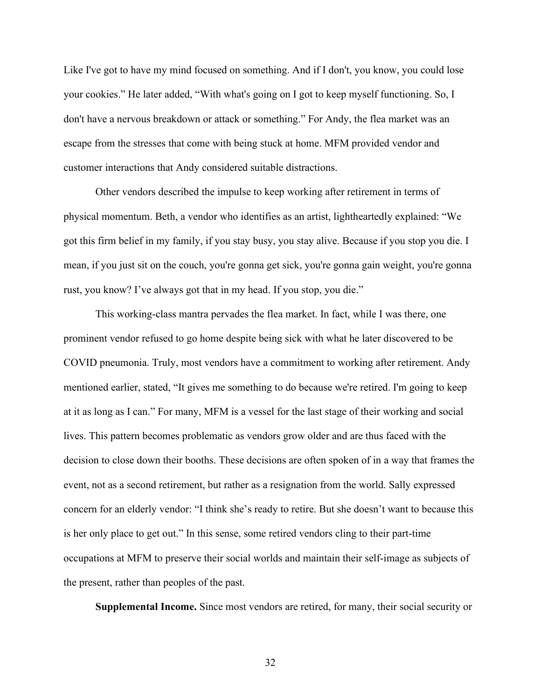Like I've got to have my mind focused on something. And if I don't, you know, you could lose your cookies." He later added, "With what's going on I got to keep myself functioning. So, I don't have a nervous breakdown or attack or something." For Andy, the flea market was an escape from the stresses that come with being stuck at home. MFM provided vendor and customer interactions that Andy considered suitable distractions.

Other vendors described the impulse to keep working after retirement in terms of physical momentum. Beth, a vendor who identifies as an artist, lightheartedly explained: "We got this firm belief in my family, if you stay busy, you stay alive. Because if you stop you die. I mean, if you just sit on the couch, you're gonna get sick, you're gonna gain weight, you're gonna rust, you know? I've always got that in my head. If you stop, you die."

This working-class mantra pervades the flea market. In fact, while I was there, one prominent vendor refused to go home despite being sick with what he later discovered to be COVID pneumonia. Truly, most vendors have a commitment to working after retirement. Andy mentioned earlier, stated, "It gives me something to do because we're retired. I'm going to keep at it as long as I can." For many, MFM is a vessel for the last stage of their working and social lives. This pattern becomes problematic as vendors grow older and are thus faced with the decision to close down their booths. These decisions are often spoken of in a way that frames the event, not as a second retirement, but rather as a resignation from the world. Sally expressed concern for an elderly vendor: "I think she's ready to retire. But she doesn't want to because this is her only place to get out." In this sense, some retired vendors cling to their part-time occupations at MFM to preserve their social worlds and maintain their self-image as subjects of the present, rather than peoples of the past.

**Supplemental Income.** Since most vendors are retired, for many, their social security or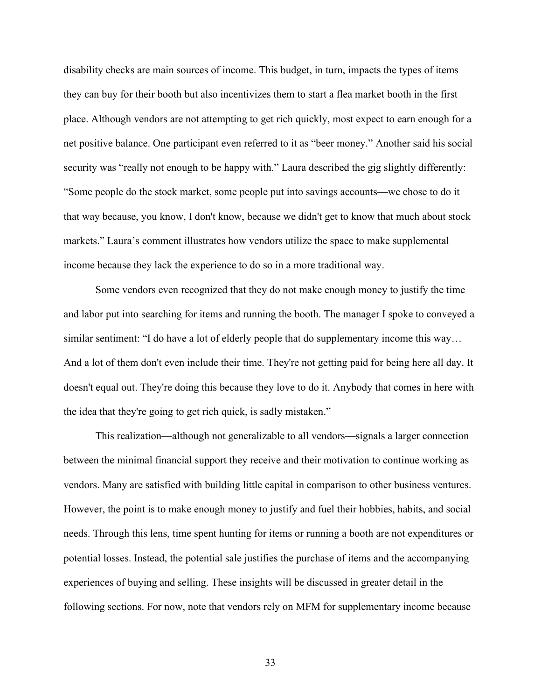disability checks are main sources of income. This budget, in turn, impacts the types of items they can buy for their booth but also incentivizes them to start a flea market booth in the first place. Although vendors are not attempting to get rich quickly, most expect to earn enough for a net positive balance. One participant even referred to it as "beer money." Another said his social security was "really not enough to be happy with." Laura described the gig slightly differently: "Some people do the stock market, some people put into savings accounts—we chose to do it that way because, you know, I don't know, because we didn't get to know that much about stock markets." Laura's comment illustrates how vendors utilize the space to make supplemental income because they lack the experience to do so in a more traditional way.

Some vendors even recognized that they do not make enough money to justify the time and labor put into searching for items and running the booth. The manager I spoke to conveyed a similar sentiment: "I do have a lot of elderly people that do supplementary income this way… And a lot of them don't even include their time. They're not getting paid for being here all day. It doesn't equal out. They're doing this because they love to do it. Anybody that comes in here with the idea that they're going to get rich quick, is sadly mistaken."

This realization—although not generalizable to all vendors—signals a larger connection between the minimal financial support they receive and their motivation to continue working as vendors. Many are satisfied with building little capital in comparison to other business ventures. However, the point is to make enough money to justify and fuel their hobbies, habits, and social needs. Through this lens, time spent hunting for items or running a booth are not expenditures or potential losses. Instead, the potential sale justifies the purchase of items and the accompanying experiences of buying and selling. These insights will be discussed in greater detail in the following sections. For now, note that vendors rely on MFM for supplementary income because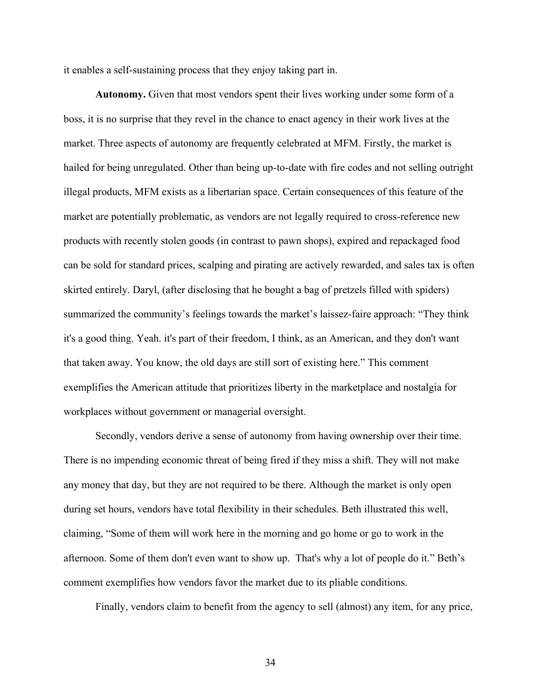it enables a self-sustaining process that they enjoy taking part in.

**Autonomy.** Given that most vendors spent their lives working under some form of a boss, it is no surprise that they revel in the chance to enact agency in their work lives at the market. Three aspects of autonomy are frequently celebrated at MFM. Firstly, the market is hailed for being unregulated. Other than being up-to-date with fire codes and not selling outright illegal products, MFM exists as a libertarian space. Certain consequences of this feature of the market are potentially problematic, as vendors are not legally required to cross-reference new products with recently stolen goods (in contrast to pawn shops), expired and repackaged food can be sold for standard prices, scalping and pirating are actively rewarded, and sales tax is often skirted entirely. Daryl, (after disclosing that he bought a bag of pretzels filled with spiders) summarized the community's feelings towards the market's laissez-faire approach: "They think it's a good thing. Yeah. it's part of their freedom, I think, as an American, and they don't want that taken away. You know, the old days are still sort of existing here." This comment exemplifies the American attitude that prioritizes liberty in the marketplace and nostalgia for workplaces without government or managerial oversight.

Secondly, vendors derive a sense of autonomy from having ownership over their time. There is no impending economic threat of being fired if they miss a shift. They will not make any money that day, but they are not required to be there. Although the market is only open during set hours, vendors have total flexibility in their schedules. Beth illustrated this well, claiming, "Some of them will work here in the morning and go home or go to work in the afternoon. Some of them don't even want to show up. That's why a lot of people do it." Beth's comment exemplifies how vendors favor the market due to its pliable conditions.

Finally, vendors claim to benefit from the agency to sell (almost) any item, for any price,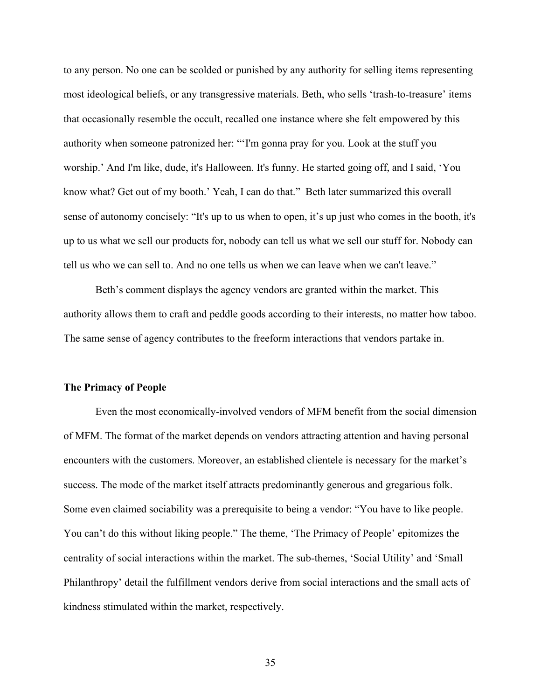to any person. No one can be scolded or punished by any authority for selling items representing most ideological beliefs, or any transgressive materials. Beth, who sells 'trash-to-treasure' items that occasionally resemble the occult, recalled one instance where she felt empowered by this authority when someone patronized her: "'I'm gonna pray for you. Look at the stuff you worship.' And I'm like, dude, it's Halloween. It's funny. He started going off, and I said, 'You know what? Get out of my booth.' Yeah, I can do that." Beth later summarized this overall sense of autonomy concisely: "It's up to us when to open, it's up just who comes in the booth, it's up to us what we sell our products for, nobody can tell us what we sell our stuff for. Nobody can tell us who we can sell to. And no one tells us when we can leave when we can't leave."

Beth's comment displays the agency vendors are granted within the market. This authority allows them to craft and peddle goods according to their interests, no matter how taboo. The same sense of agency contributes to the freeform interactions that vendors partake in.

#### **The Primacy of People**

Even the most economically-involved vendors of MFM benefit from the social dimension of MFM. The format of the market depends on vendors attracting attention and having personal encounters with the customers. Moreover, an established clientele is necessary for the market's success. The mode of the market itself attracts predominantly generous and gregarious folk. Some even claimed sociability was a prerequisite to being a vendor: "You have to like people. You can't do this without liking people." The theme, 'The Primacy of People' epitomizes the centrality of social interactions within the market. The sub-themes, 'Social Utility' and 'Small Philanthropy' detail the fulfillment vendors derive from social interactions and the small acts of kindness stimulated within the market, respectively.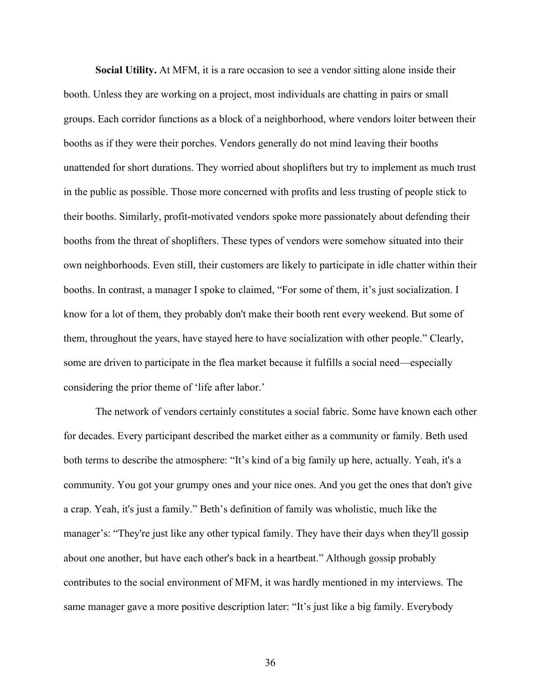**Social Utility.** At MFM, it is a rare occasion to see a vendor sitting alone inside their booth. Unless they are working on a project, most individuals are chatting in pairs or small groups. Each corridor functions as a block of a neighborhood, where vendors loiter between their booths as if they were their porches. Vendors generally do not mind leaving their booths unattended for short durations. They worried about shoplifters but try to implement as much trust in the public as possible. Those more concerned with profits and less trusting of people stick to their booths. Similarly, profit-motivated vendors spoke more passionately about defending their booths from the threat of shoplifters. These types of vendors were somehow situated into their own neighborhoods. Even still, their customers are likely to participate in idle chatter within their booths. In contrast, a manager I spoke to claimed, "For some of them, it's just socialization. I know for a lot of them, they probably don't make their booth rent every weekend. But some of them, throughout the years, have stayed here to have socialization with other people." Clearly, some are driven to participate in the flea market because it fulfills a social need—especially considering the prior theme of 'life after labor.'

The network of vendors certainly constitutes a social fabric. Some have known each other for decades. Every participant described the market either as a community or family. Beth used both terms to describe the atmosphere: "It's kind of a big family up here, actually. Yeah, it's a community. You got your grumpy ones and your nice ones. And you get the ones that don't give a crap. Yeah, it's just a family." Beth's definition of family was wholistic, much like the manager's: "They're just like any other typical family. They have their days when they'll gossip about one another, but have each other's back in a heartbeat." Although gossip probably contributes to the social environment of MFM, it was hardly mentioned in my interviews. The same manager gave a more positive description later: "It's just like a big family. Everybody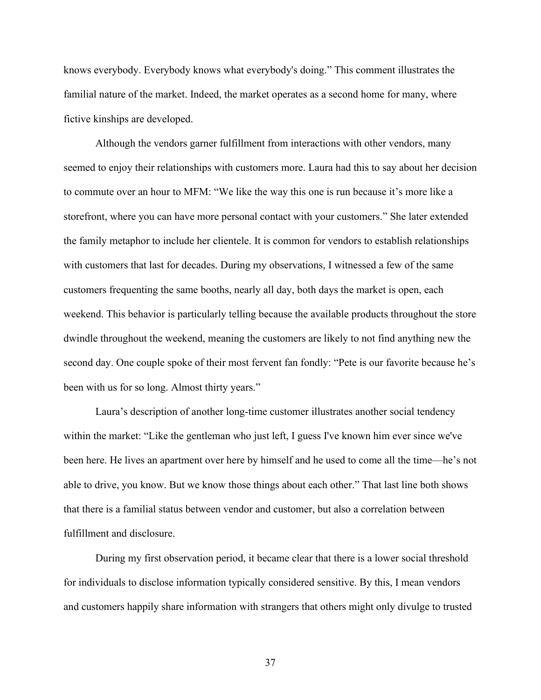knows everybody. Everybody knows what everybody's doing." This comment illustrates the familial nature of the market. Indeed, the market operates as a second home for many, where fictive kinships are developed.

Although the vendors garner fulfillment from interactions with other vendors, many seemed to enjoy their relationships with customers more. Laura had this to say about her decision to commute over an hour to MFM: "We like the way this one is run because it's more like a storefront, where you can have more personal contact with your customers." She later extended the family metaphor to include her clientele. It is common for vendors to establish relationships with customers that last for decades. During my observations, I witnessed a few of the same customers frequenting the same booths, nearly all day, both days the market is open, each weekend. This behavior is particularly telling because the available products throughout the store dwindle throughout the weekend, meaning the customers are likely to not find anything new the second day. One couple spoke of their most fervent fan fondly: "Pete is our favorite because he's been with us for so long. Almost thirty years."

Laura's description of another long-time customer illustrates another social tendency within the market: "Like the gentleman who just left, I guess I've known him ever since we've been here. He lives an apartment over here by himself and he used to come all the time—he's not able to drive, you know. But we know those things about each other." That last line both shows that there is a familial status between vendor and customer, but also a correlation between fulfillment and disclosure.

During my first observation period, it became clear that there is a lower social threshold for individuals to disclose information typically considered sensitive. By this, I mean vendors and customers happily share information with strangers that others might only divulge to trusted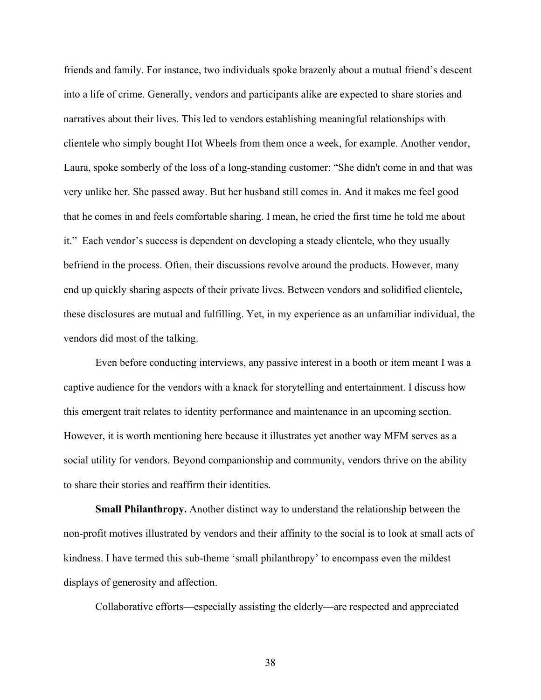friends and family. For instance, two individuals spoke brazenly about a mutual friend's descent into a life of crime. Generally, vendors and participants alike are expected to share stories and narratives about their lives. This led to vendors establishing meaningful relationships with clientele who simply bought Hot Wheels from them once a week, for example. Another vendor, Laura, spoke somberly of the loss of a long-standing customer: "She didn't come in and that was very unlike her. She passed away. But her husband still comes in. And it makes me feel good that he comes in and feels comfortable sharing. I mean, he cried the first time he told me about it." Each vendor's success is dependent on developing a steady clientele, who they usually befriend in the process. Often, their discussions revolve around the products. However, many end up quickly sharing aspects of their private lives. Between vendors and solidified clientele, these disclosures are mutual and fulfilling. Yet, in my experience as an unfamiliar individual, the vendors did most of the talking.

Even before conducting interviews, any passive interest in a booth or item meant I was a captive audience for the vendors with a knack for storytelling and entertainment. I discuss how this emergent trait relates to identity performance and maintenance in an upcoming section. However, it is worth mentioning here because it illustrates yet another way MFM serves as a social utility for vendors. Beyond companionship and community, vendors thrive on the ability to share their stories and reaffirm their identities.

**Small Philanthropy.** Another distinct way to understand the relationship between the non-profit motives illustrated by vendors and their affinity to the social is to look at small acts of kindness. I have termed this sub-theme 'small philanthropy' to encompass even the mildest displays of generosity and affection.

Collaborative efforts—especially assisting the elderly—are respected and appreciated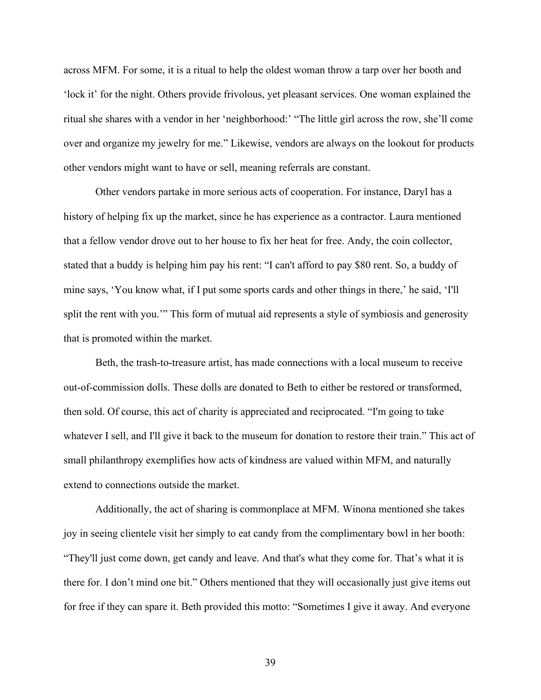across MFM. For some, it is a ritual to help the oldest woman throw a tarp over her booth and 'lock it' for the night. Others provide frivolous, yet pleasant services. One woman explained the ritual she shares with a vendor in her 'neighborhood:' "The little girl across the row, she'll come over and organize my jewelry for me." Likewise, vendors are always on the lookout for products other vendors might want to have or sell, meaning referrals are constant.

Other vendors partake in more serious acts of cooperation. For instance, Daryl has a history of helping fix up the market, since he has experience as a contractor. Laura mentioned that a fellow vendor drove out to her house to fix her heat for free. Andy, the coin collector, stated that a buddy is helping him pay his rent: "I can't afford to pay \$80 rent. So, a buddy of mine says, 'You know what, if I put some sports cards and other things in there,' he said, 'I'll split the rent with you." This form of mutual aid represents a style of symbiosis and generosity that is promoted within the market.

Beth, the trash-to-treasure artist, has made connections with a local museum to receive out-of-commission dolls. These dolls are donated to Beth to either be restored or transformed, then sold. Of course, this act of charity is appreciated and reciprocated. "I'm going to take whatever I sell, and I'll give it back to the museum for donation to restore their train." This act of small philanthropy exemplifies how acts of kindness are valued within MFM, and naturally extend to connections outside the market.

Additionally, the act of sharing is commonplace at MFM. Winona mentioned she takes joy in seeing clientele visit her simply to eat candy from the complimentary bowl in her booth: "They'll just come down, get candy and leave. And that's what they come for. That's what it is there for. I don't mind one bit." Others mentioned that they will occasionally just give items out for free if they can spare it. Beth provided this motto: "Sometimes I give it away. And everyone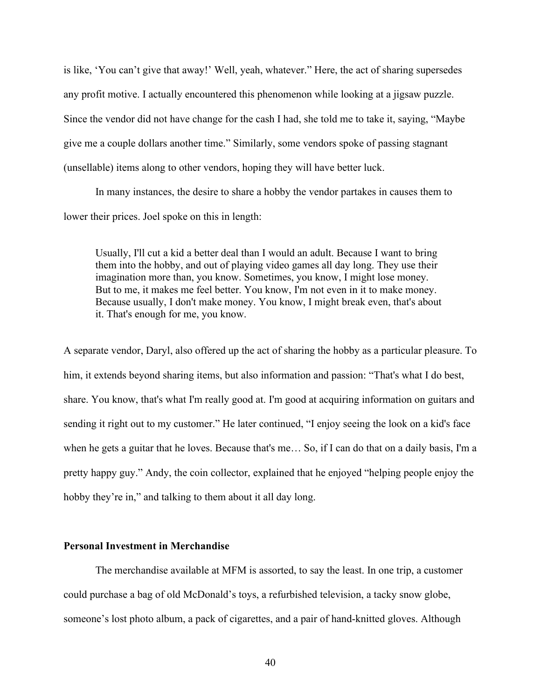is like, 'You can't give that away!' Well, yeah, whatever." Here, the act of sharing supersedes any profit motive. I actually encountered this phenomenon while looking at a jigsaw puzzle. Since the vendor did not have change for the cash I had, she told me to take it, saying, "Maybe give me a couple dollars another time." Similarly, some vendors spoke of passing stagnant (unsellable) items along to other vendors, hoping they will have better luck.

In many instances, the desire to share a hobby the vendor partakes in causes them to lower their prices. Joel spoke on this in length:

Usually, I'll cut a kid a better deal than I would an adult. Because I want to bring them into the hobby, and out of playing video games all day long. They use their imagination more than, you know. Sometimes, you know, I might lose money. But to me, it makes me feel better. You know, I'm not even in it to make money. Because usually, I don't make money. You know, I might break even, that's about it. That's enough for me, you know.

A separate vendor, Daryl, also offered up the act of sharing the hobby as a particular pleasure. To him, it extends beyond sharing items, but also information and passion: "That's what I do best, share. You know, that's what I'm really good at. I'm good at acquiring information on guitars and sending it right out to my customer." He later continued, "I enjoy seeing the look on a kid's face when he gets a guitar that he loves. Because that's me… So, if I can do that on a daily basis, I'm a pretty happy guy." Andy, the coin collector, explained that he enjoyed "helping people enjoy the hobby they're in," and talking to them about it all day long.

# **Personal Investment in Merchandise**

The merchandise available at MFM is assorted, to say the least. In one trip, a customer could purchase a bag of old McDonald's toys, a refurbished television, a tacky snow globe, someone's lost photo album, a pack of cigarettes, and a pair of hand-knitted gloves. Although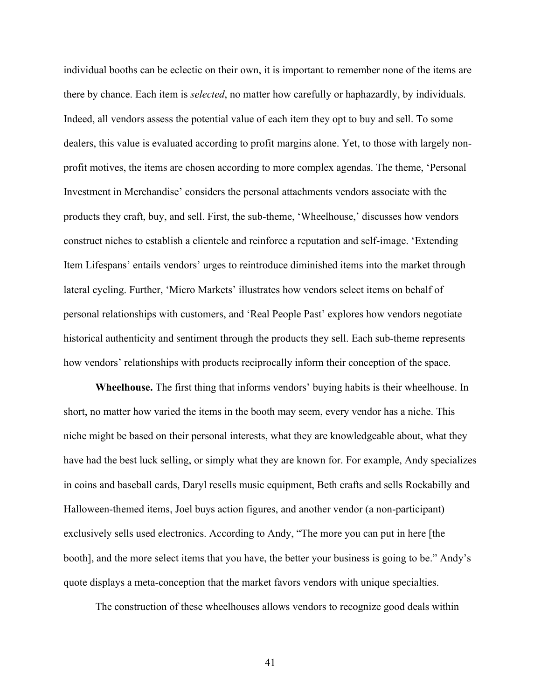individual booths can be eclectic on their own, it is important to remember none of the items are there by chance. Each item is *selected*, no matter how carefully or haphazardly, by individuals. Indeed, all vendors assess the potential value of each item they opt to buy and sell. To some dealers, this value is evaluated according to profit margins alone. Yet, to those with largely nonprofit motives, the items are chosen according to more complex agendas. The theme, 'Personal Investment in Merchandise' considers the personal attachments vendors associate with the products they craft, buy, and sell. First, the sub-theme, 'Wheelhouse,' discusses how vendors construct niches to establish a clientele and reinforce a reputation and self-image. 'Extending Item Lifespans' entails vendors' urges to reintroduce diminished items into the market through lateral cycling. Further, 'Micro Markets' illustrates how vendors select items on behalf of personal relationships with customers, and 'Real People Past' explores how vendors negotiate historical authenticity and sentiment through the products they sell. Each sub-theme represents how vendors' relationships with products reciprocally inform their conception of the space.

**Wheelhouse.** The first thing that informs vendors' buying habits is their wheelhouse. In short, no matter how varied the items in the booth may seem, every vendor has a niche. This niche might be based on their personal interests, what they are knowledgeable about, what they have had the best luck selling, or simply what they are known for. For example, Andy specializes in coins and baseball cards, Daryl resells music equipment, Beth crafts and sells Rockabilly and Halloween-themed items, Joel buys action figures, and another vendor (a non-participant) exclusively sells used electronics. According to Andy, "The more you can put in here [the booth], and the more select items that you have, the better your business is going to be." Andy's quote displays a meta-conception that the market favors vendors with unique specialties.

The construction of these wheelhouses allows vendors to recognize good deals within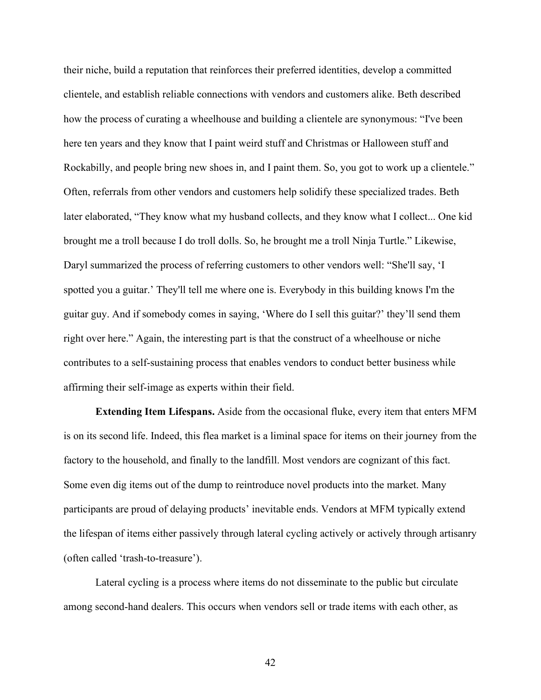their niche, build a reputation that reinforces their preferred identities, develop a committed clientele, and establish reliable connections with vendors and customers alike. Beth described how the process of curating a wheelhouse and building a clientele are synonymous: "I've been here ten years and they know that I paint weird stuff and Christmas or Halloween stuff and Rockabilly, and people bring new shoes in, and I paint them. So, you got to work up a clientele." Often, referrals from other vendors and customers help solidify these specialized trades. Beth later elaborated, "They know what my husband collects, and they know what I collect... One kid brought me a troll because I do troll dolls. So, he brought me a troll Ninja Turtle." Likewise, Daryl summarized the process of referring customers to other vendors well: "She'll say, 'I spotted you a guitar.' They'll tell me where one is. Everybody in this building knows I'm the guitar guy. And if somebody comes in saying, 'Where do I sell this guitar?' they'll send them right over here." Again, the interesting part is that the construct of a wheelhouse or niche contributes to a self-sustaining process that enables vendors to conduct better business while affirming their self-image as experts within their field.

**Extending Item Lifespans.** Aside from the occasional fluke, every item that enters MFM is on its second life. Indeed, this flea market is a liminal space for items on their journey from the factory to the household, and finally to the landfill. Most vendors are cognizant of this fact. Some even dig items out of the dump to reintroduce novel products into the market. Many participants are proud of delaying products' inevitable ends. Vendors at MFM typically extend the lifespan of items either passively through lateral cycling actively or actively through artisanry (often called 'trash-to-treasure').

Lateral cycling is a process where items do not disseminate to the public but circulate among second-hand dealers. This occurs when vendors sell or trade items with each other, as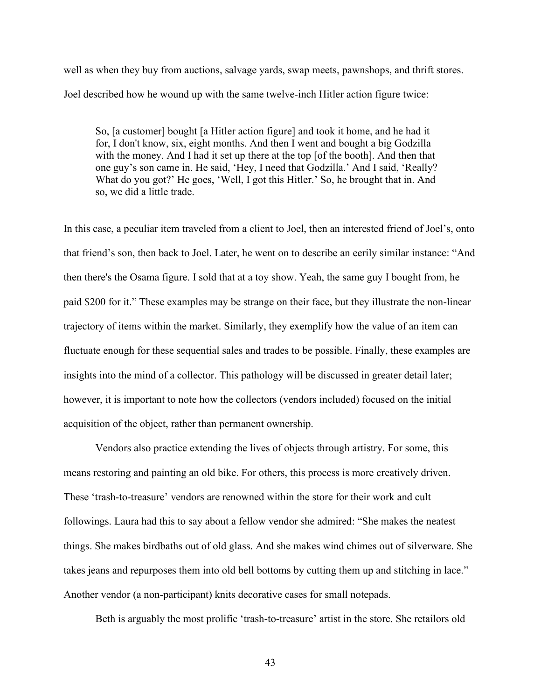well as when they buy from auctions, salvage yards, swap meets, pawnshops, and thrift stores. Joel described how he wound up with the same twelve-inch Hitler action figure twice:

So, [a customer] bought [a Hitler action figure] and took it home, and he had it for, I don't know, six, eight months. And then I went and bought a big Godzilla with the money. And I had it set up there at the top [of the booth]. And then that one guy's son came in. He said, 'Hey, I need that Godzilla.' And I said, 'Really? What do you got?' He goes, 'Well, I got this Hitler.' So, he brought that in. And so, we did a little trade.

In this case, a peculiar item traveled from a client to Joel, then an interested friend of Joel's, onto that friend's son, then back to Joel. Later, he went on to describe an eerily similar instance: "And then there's the Osama figure. I sold that at a toy show. Yeah, the same guy I bought from, he paid \$200 for it." These examples may be strange on their face, but they illustrate the non-linear trajectory of items within the market. Similarly, they exemplify how the value of an item can fluctuate enough for these sequential sales and trades to be possible. Finally, these examples are insights into the mind of a collector. This pathology will be discussed in greater detail later; however, it is important to note how the collectors (vendors included) focused on the initial acquisition of the object, rather than permanent ownership.

Vendors also practice extending the lives of objects through artistry. For some, this means restoring and painting an old bike. For others, this process is more creatively driven. These 'trash-to-treasure' vendors are renowned within the store for their work and cult followings. Laura had this to say about a fellow vendor she admired: "She makes the neatest things. She makes birdbaths out of old glass. And she makes wind chimes out of silverware. She takes jeans and repurposes them into old bell bottoms by cutting them up and stitching in lace." Another vendor (a non-participant) knits decorative cases for small notepads.

Beth is arguably the most prolific 'trash-to-treasure' artist in the store. She retailors old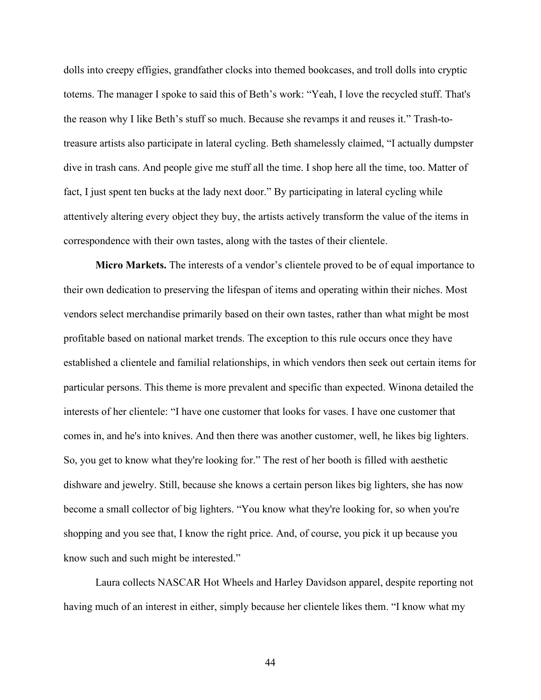dolls into creepy effigies, grandfather clocks into themed bookcases, and troll dolls into cryptic totems. The manager I spoke to said this of Beth's work: "Yeah, I love the recycled stuff. That's the reason why I like Beth's stuff so much. Because she revamps it and reuses it." Trash-totreasure artists also participate in lateral cycling. Beth shamelessly claimed, "I actually dumpster dive in trash cans. And people give me stuff all the time. I shop here all the time, too. Matter of fact, I just spent ten bucks at the lady next door." By participating in lateral cycling while attentively altering every object they buy, the artists actively transform the value of the items in correspondence with their own tastes, along with the tastes of their clientele.

**Micro Markets.** The interests of a vendor's clientele proved to be of equal importance to their own dedication to preserving the lifespan of items and operating within their niches. Most vendors select merchandise primarily based on their own tastes, rather than what might be most profitable based on national market trends. The exception to this rule occurs once they have established a clientele and familial relationships, in which vendors then seek out certain items for particular persons. This theme is more prevalent and specific than expected. Winona detailed the interests of her clientele: "I have one customer that looks for vases. I have one customer that comes in, and he's into knives. And then there was another customer, well, he likes big lighters. So, you get to know what they're looking for." The rest of her booth is filled with aesthetic dishware and jewelry. Still, because she knows a certain person likes big lighters, she has now become a small collector of big lighters. "You know what they're looking for, so when you're shopping and you see that, I know the right price. And, of course, you pick it up because you know such and such might be interested."

Laura collects NASCAR Hot Wheels and Harley Davidson apparel, despite reporting not having much of an interest in either, simply because her clientele likes them. "I know what my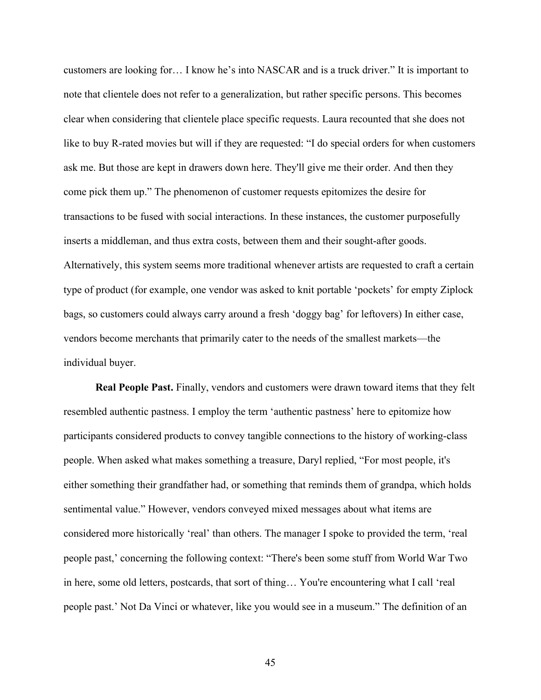customers are looking for… I know he's into NASCAR and is a truck driver." It is important to note that clientele does not refer to a generalization, but rather specific persons. This becomes clear when considering that clientele place specific requests. Laura recounted that she does not like to buy R-rated movies but will if they are requested: "I do special orders for when customers ask me. But those are kept in drawers down here. They'll give me their order. And then they come pick them up." The phenomenon of customer requests epitomizes the desire for transactions to be fused with social interactions. In these instances, the customer purposefully inserts a middleman, and thus extra costs, between them and their sought-after goods. Alternatively, this system seems more traditional whenever artists are requested to craft a certain type of product (for example, one vendor was asked to knit portable 'pockets' for empty Ziplock bags, so customers could always carry around a fresh 'doggy bag' for leftovers) In either case, vendors become merchants that primarily cater to the needs of the smallest markets—the individual buyer.

**Real People Past.** Finally, vendors and customers were drawn toward items that they felt resembled authentic pastness. I employ the term 'authentic pastness' here to epitomize how participants considered products to convey tangible connections to the history of working-class people. When asked what makes something a treasure, Daryl replied, "For most people, it's either something their grandfather had, or something that reminds them of grandpa, which holds sentimental value." However, vendors conveyed mixed messages about what items are considered more historically 'real' than others. The manager I spoke to provided the term, 'real people past,' concerning the following context: "There's been some stuff from World War Two in here, some old letters, postcards, that sort of thing… You're encountering what I call 'real people past.' Not Da Vinci or whatever, like you would see in a museum." The definition of an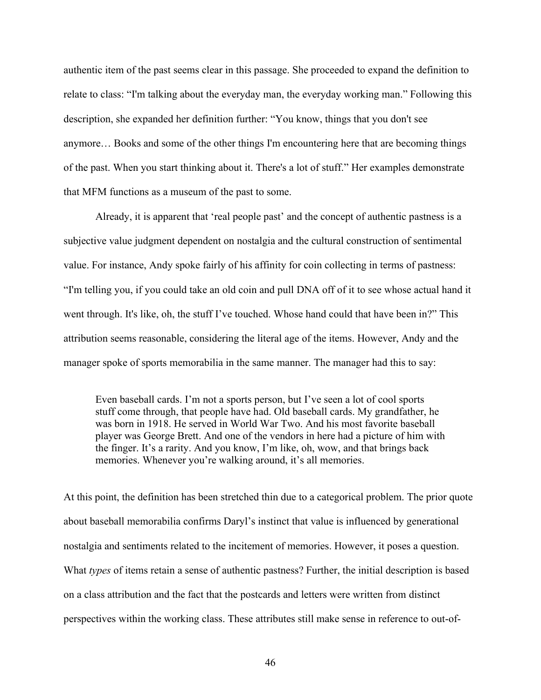authentic item of the past seems clear in this passage. She proceeded to expand the definition to relate to class: "I'm talking about the everyday man, the everyday working man." Following this description, she expanded her definition further: "You know, things that you don't see anymore… Books and some of the other things I'm encountering here that are becoming things of the past. When you start thinking about it. There's a lot of stuff." Her examples demonstrate that MFM functions as a museum of the past to some.

Already, it is apparent that 'real people past' and the concept of authentic pastness is a subjective value judgment dependent on nostalgia and the cultural construction of sentimental value. For instance, Andy spoke fairly of his affinity for coin collecting in terms of pastness: "I'm telling you, if you could take an old coin and pull DNA off of it to see whose actual hand it went through. It's like, oh, the stuff I've touched. Whose hand could that have been in?" This attribution seems reasonable, considering the literal age of the items. However, Andy and the manager spoke of sports memorabilia in the same manner. The manager had this to say:

Even baseball cards. I'm not a sports person, but I've seen a lot of cool sports stuff come through, that people have had. Old baseball cards. My grandfather, he was born in 1918. He served in World War Two. And his most favorite baseball player was George Brett. And one of the vendors in here had a picture of him with the finger. It's a rarity. And you know, I'm like, oh, wow, and that brings back memories. Whenever you're walking around, it's all memories.

At this point, the definition has been stretched thin due to a categorical problem. The prior quote about baseball memorabilia confirms Daryl's instinct that value is influenced by generational nostalgia and sentiments related to the incitement of memories. However, it poses a question. What *types* of items retain a sense of authentic pastness? Further, the initial description is based on a class attribution and the fact that the postcards and letters were written from distinct perspectives within the working class. These attributes still make sense in reference to out-of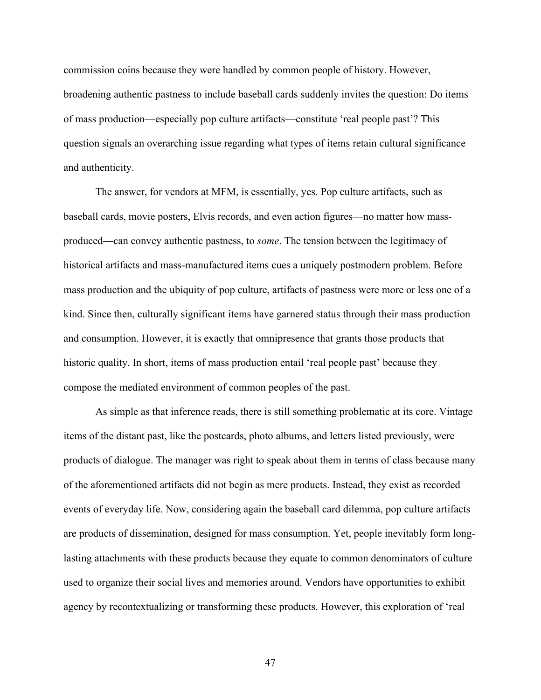commission coins because they were handled by common people of history. However, broadening authentic pastness to include baseball cards suddenly invites the question: Do items of mass production—especially pop culture artifacts—constitute 'real people past'? This question signals an overarching issue regarding what types of items retain cultural significance and authenticity.

The answer, for vendors at MFM, is essentially, yes. Pop culture artifacts, such as baseball cards, movie posters, Elvis records, and even action figures—no matter how massproduced—can convey authentic pastness, to *some*. The tension between the legitimacy of historical artifacts and mass-manufactured items cues a uniquely postmodern problem. Before mass production and the ubiquity of pop culture, artifacts of pastness were more or less one of a kind. Since then, culturally significant items have garnered status through their mass production and consumption. However, it is exactly that omnipresence that grants those products that historic quality. In short, items of mass production entail 'real people past' because they compose the mediated environment of common peoples of the past.

As simple as that inference reads, there is still something problematic at its core. Vintage items of the distant past, like the postcards, photo albums, and letters listed previously, were products of dialogue. The manager was right to speak about them in terms of class because many of the aforementioned artifacts did not begin as mere products. Instead, they exist as recorded events of everyday life. Now, considering again the baseball card dilemma, pop culture artifacts are products of dissemination, designed for mass consumption. Yet, people inevitably form longlasting attachments with these products because they equate to common denominators of culture used to organize their social lives and memories around. Vendors have opportunities to exhibit agency by recontextualizing or transforming these products. However, this exploration of 'real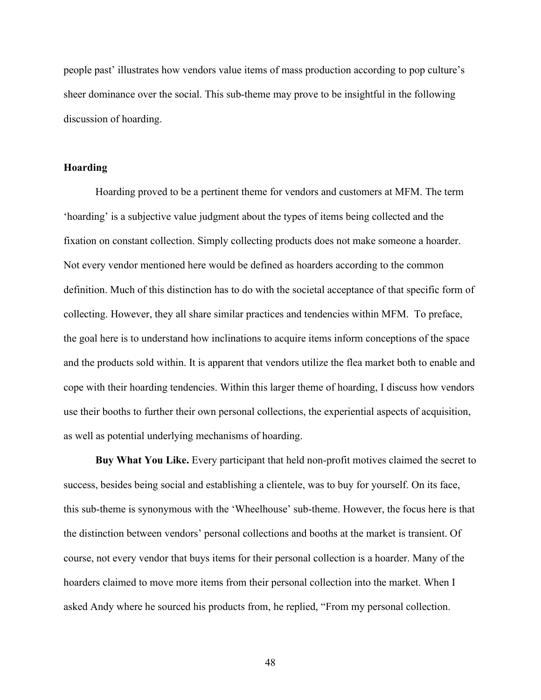people past' illustrates how vendors value items of mass production according to pop culture's sheer dominance over the social. This sub-theme may prove to be insightful in the following discussion of hoarding.

### **Hoarding**

Hoarding proved to be a pertinent theme for vendors and customers at MFM. The term 'hoarding' is a subjective value judgment about the types of items being collected and the fixation on constant collection. Simply collecting products does not make someone a hoarder. Not every vendor mentioned here would be defined as hoarders according to the common definition. Much of this distinction has to do with the societal acceptance of that specific form of collecting. However, they all share similar practices and tendencies within MFM. To preface, the goal here is to understand how inclinations to acquire items inform conceptions of the space and the products sold within. It is apparent that vendors utilize the flea market both to enable and cope with their hoarding tendencies. Within this larger theme of hoarding, I discuss how vendors use their booths to further their own personal collections, the experiential aspects of acquisition, as well as potential underlying mechanisms of hoarding.

**Buy What You Like.** Every participant that held non-profit motives claimed the secret to success, besides being social and establishing a clientele, was to buy for yourself. On its face, this sub-theme is synonymous with the 'Wheelhouse' sub-theme. However, the focus here is that the distinction between vendors' personal collections and booths at the market is transient. Of course, not every vendor that buys items for their personal collection is a hoarder. Many of the hoarders claimed to move more items from their personal collection into the market. When I asked Andy where he sourced his products from, he replied, "From my personal collection.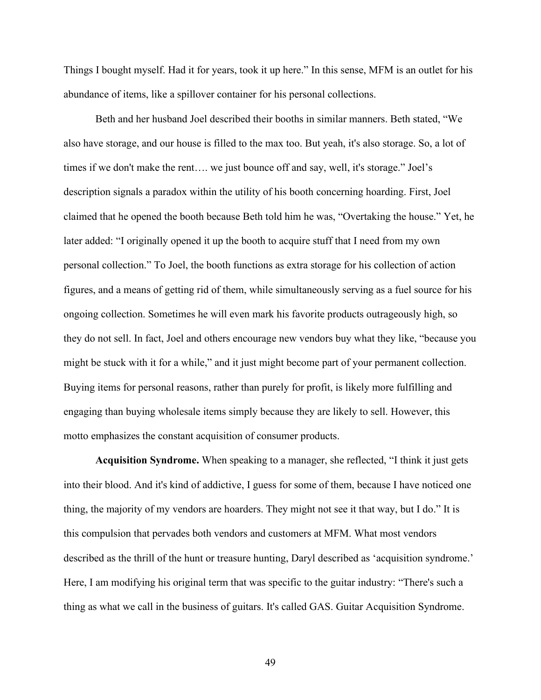Things I bought myself. Had it for years, took it up here." In this sense, MFM is an outlet for his abundance of items, like a spillover container for his personal collections.

Beth and her husband Joel described their booths in similar manners. Beth stated, "We also have storage, and our house is filled to the max too. But yeah, it's also storage. So, a lot of times if we don't make the rent…. we just bounce off and say, well, it's storage." Joel's description signals a paradox within the utility of his booth concerning hoarding. First, Joel claimed that he opened the booth because Beth told him he was, "Overtaking the house." Yet, he later added: "I originally opened it up the booth to acquire stuff that I need from my own personal collection." To Joel, the booth functions as extra storage for his collection of action figures, and a means of getting rid of them, while simultaneously serving as a fuel source for his ongoing collection. Sometimes he will even mark his favorite products outrageously high, so they do not sell. In fact, Joel and others encourage new vendors buy what they like, "because you might be stuck with it for a while," and it just might become part of your permanent collection. Buying items for personal reasons, rather than purely for profit, is likely more fulfilling and engaging than buying wholesale items simply because they are likely to sell. However, this motto emphasizes the constant acquisition of consumer products.

**Acquisition Syndrome.** When speaking to a manager, she reflected, "I think it just gets into their blood. And it's kind of addictive, I guess for some of them, because I have noticed one thing, the majority of my vendors are hoarders. They might not see it that way, but I do." It is this compulsion that pervades both vendors and customers at MFM. What most vendors described as the thrill of the hunt or treasure hunting, Daryl described as 'acquisition syndrome.' Here, I am modifying his original term that was specific to the guitar industry: "There's such a thing as what we call in the business of guitars. It's called GAS. Guitar Acquisition Syndrome.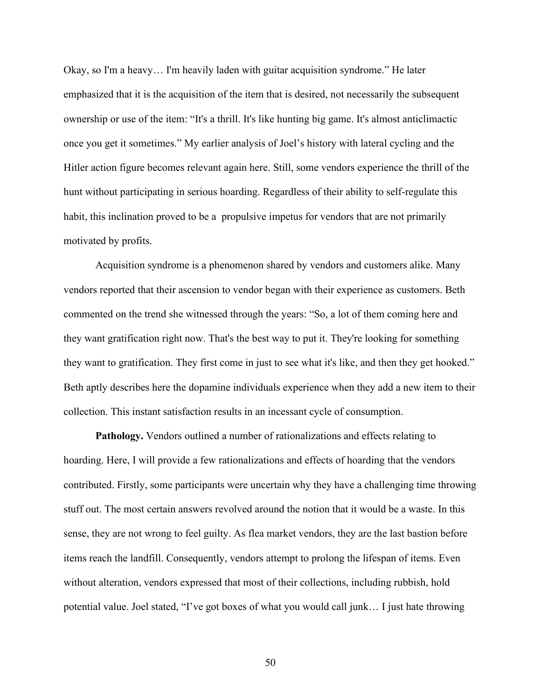Okay, so I'm a heavy… I'm heavily laden with guitar acquisition syndrome." He later emphasized that it is the acquisition of the item that is desired, not necessarily the subsequent ownership or use of the item: "It's a thrill. It's like hunting big game. It's almost anticlimactic once you get it sometimes." My earlier analysis of Joel's history with lateral cycling and the Hitler action figure becomes relevant again here. Still, some vendors experience the thrill of the hunt without participating in serious hoarding. Regardless of their ability to self-regulate this habit, this inclination proved to be a propulsive impetus for vendors that are not primarily motivated by profits.

Acquisition syndrome is a phenomenon shared by vendors and customers alike. Many vendors reported that their ascension to vendor began with their experience as customers. Beth commented on the trend she witnessed through the years: "So, a lot of them coming here and they want gratification right now. That's the best way to put it. They're looking for something they want to gratification. They first come in just to see what it's like, and then they get hooked." Beth aptly describes here the dopamine individuals experience when they add a new item to their collection. This instant satisfaction results in an incessant cycle of consumption.

**Pathology.** Vendors outlined a number of rationalizations and effects relating to hoarding. Here, I will provide a few rationalizations and effects of hoarding that the vendors contributed. Firstly, some participants were uncertain why they have a challenging time throwing stuff out. The most certain answers revolved around the notion that it would be a waste. In this sense, they are not wrong to feel guilty. As flea market vendors, they are the last bastion before items reach the landfill. Consequently, vendors attempt to prolong the lifespan of items. Even without alteration, vendors expressed that most of their collections, including rubbish, hold potential value. Joel stated, "I've got boxes of what you would call junk… I just hate throwing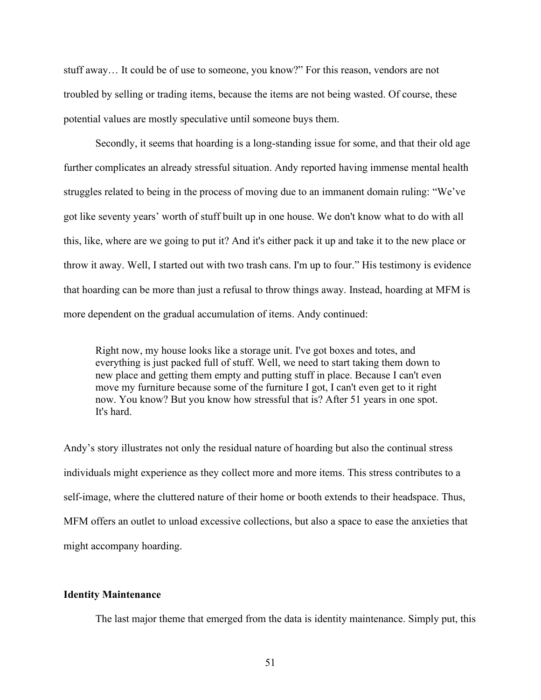stuff away… It could be of use to someone, you know?" For this reason, vendors are not troubled by selling or trading items, because the items are not being wasted. Of course, these potential values are mostly speculative until someone buys them.

Secondly, it seems that hoarding is a long-standing issue for some, and that their old age further complicates an already stressful situation. Andy reported having immense mental health struggles related to being in the process of moving due to an immanent domain ruling: "We've got like seventy years' worth of stuff built up in one house. We don't know what to do with all this, like, where are we going to put it? And it's either pack it up and take it to the new place or throw it away. Well, I started out with two trash cans. I'm up to four." His testimony is evidence that hoarding can be more than just a refusal to throw things away. Instead, hoarding at MFM is more dependent on the gradual accumulation of items. Andy continued:

Right now, my house looks like a storage unit. I've got boxes and totes, and everything is just packed full of stuff. Well, we need to start taking them down to new place and getting them empty and putting stuff in place. Because I can't even move my furniture because some of the furniture I got, I can't even get to it right now. You know? But you know how stressful that is? After 51 years in one spot. It's hard.

Andy's story illustrates not only the residual nature of hoarding but also the continual stress individuals might experience as they collect more and more items. This stress contributes to a self-image, where the cluttered nature of their home or booth extends to their headspace. Thus, MFM offers an outlet to unload excessive collections, but also a space to ease the anxieties that might accompany hoarding.

# **Identity Maintenance**

The last major theme that emerged from the data is identity maintenance. Simply put, this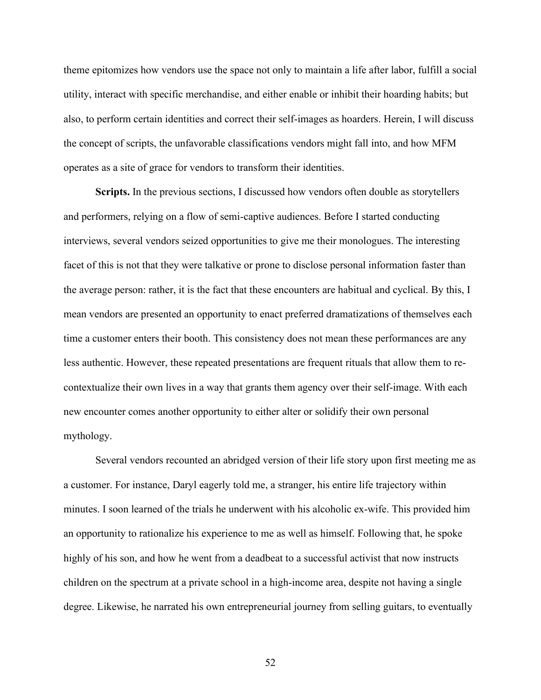theme epitomizes how vendors use the space not only to maintain a life after labor, fulfill a social utility, interact with specific merchandise, and either enable or inhibit their hoarding habits; but also, to perform certain identities and correct their self-images as hoarders. Herein, I will discuss the concept of scripts, the unfavorable classifications vendors might fall into, and how MFM operates as a site of grace for vendors to transform their identities.

**Scripts.** In the previous sections, I discussed how vendors often double as storytellers and performers, relying on a flow of semi-captive audiences. Before I started conducting interviews, several vendors seized opportunities to give me their monologues. The interesting facet of this is not that they were talkative or prone to disclose personal information faster than the average person: rather, it is the fact that these encounters are habitual and cyclical. By this, I mean vendors are presented an opportunity to enact preferred dramatizations of themselves each time a customer enters their booth. This consistency does not mean these performances are any less authentic. However, these repeated presentations are frequent rituals that allow them to recontextualize their own lives in a way that grants them agency over their self-image. With each new encounter comes another opportunity to either alter or solidify their own personal mythology.

Several vendors recounted an abridged version of their life story upon first meeting me as a customer. For instance, Daryl eagerly told me, a stranger, his entire life trajectory within minutes. I soon learned of the trials he underwent with his alcoholic ex-wife. This provided him an opportunity to rationalize his experience to me as well as himself. Following that, he spoke highly of his son, and how he went from a deadbeat to a successful activist that now instructs children on the spectrum at a private school in a high-income area, despite not having a single degree. Likewise, he narrated his own entrepreneurial journey from selling guitars, to eventually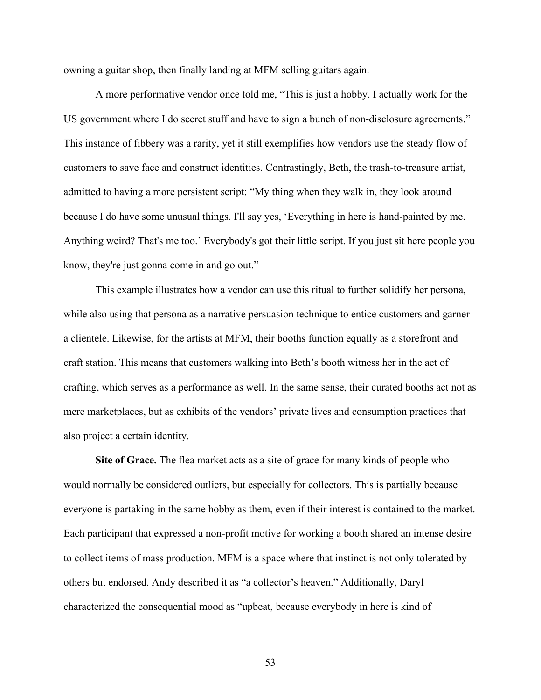owning a guitar shop, then finally landing at MFM selling guitars again.

A more performative vendor once told me, "This is just a hobby. I actually work for the US government where I do secret stuff and have to sign a bunch of non-disclosure agreements." This instance of fibbery was a rarity, yet it still exemplifies how vendors use the steady flow of customers to save face and construct identities. Contrastingly, Beth, the trash-to-treasure artist, admitted to having a more persistent script: "My thing when they walk in, they look around because I do have some unusual things. I'll say yes, 'Everything in here is hand-painted by me. Anything weird? That's me too.' Everybody's got their little script. If you just sit here people you know, they're just gonna come in and go out."

This example illustrates how a vendor can use this ritual to further solidify her persona, while also using that persona as a narrative persuasion technique to entice customers and garner a clientele. Likewise, for the artists at MFM, their booths function equally as a storefront and craft station. This means that customers walking into Beth's booth witness her in the act of crafting, which serves as a performance as well. In the same sense, their curated booths act not as mere marketplaces, but as exhibits of the vendors' private lives and consumption practices that also project a certain identity.

**Site of Grace.** The flea market acts as a site of grace for many kinds of people who would normally be considered outliers, but especially for collectors. This is partially because everyone is partaking in the same hobby as them, even if their interest is contained to the market. Each participant that expressed a non-profit motive for working a booth shared an intense desire to collect items of mass production. MFM is a space where that instinct is not only tolerated by others but endorsed. Andy described it as "a collector's heaven." Additionally, Daryl characterized the consequential mood as "upbeat, because everybody in here is kind of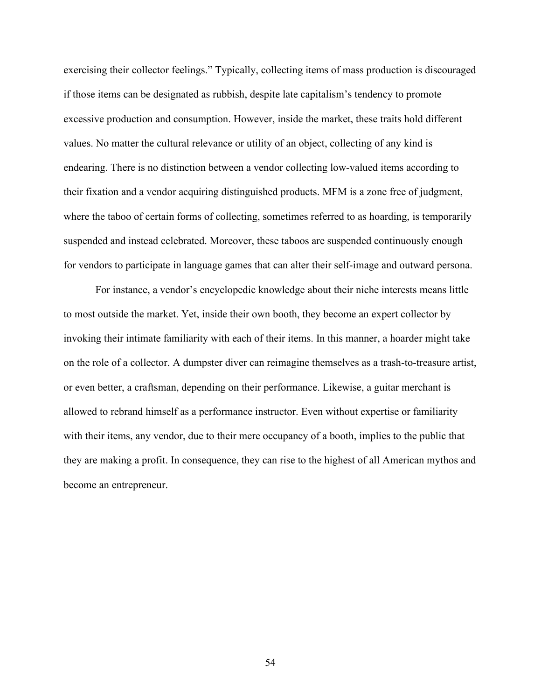exercising their collector feelings." Typically, collecting items of mass production is discouraged if those items can be designated as rubbish, despite late capitalism's tendency to promote excessive production and consumption. However, inside the market, these traits hold different values. No matter the cultural relevance or utility of an object, collecting of any kind is endearing. There is no distinction between a vendor collecting low-valued items according to their fixation and a vendor acquiring distinguished products. MFM is a zone free of judgment, where the taboo of certain forms of collecting, sometimes referred to as hoarding, is temporarily suspended and instead celebrated. Moreover, these taboos are suspended continuously enough for vendors to participate in language games that can alter their self-image and outward persona.

For instance, a vendor's encyclopedic knowledge about their niche interests means little to most outside the market. Yet, inside their own booth, they become an expert collector by invoking their intimate familiarity with each of their items. In this manner, a hoarder might take on the role of a collector. A dumpster diver can reimagine themselves as a trash-to-treasure artist, or even better, a craftsman, depending on their performance. Likewise, a guitar merchant is allowed to rebrand himself as a performance instructor. Even without expertise or familiarity with their items, any vendor, due to their mere occupancy of a booth, implies to the public that they are making a profit. In consequence, they can rise to the highest of all American mythos and become an entrepreneur.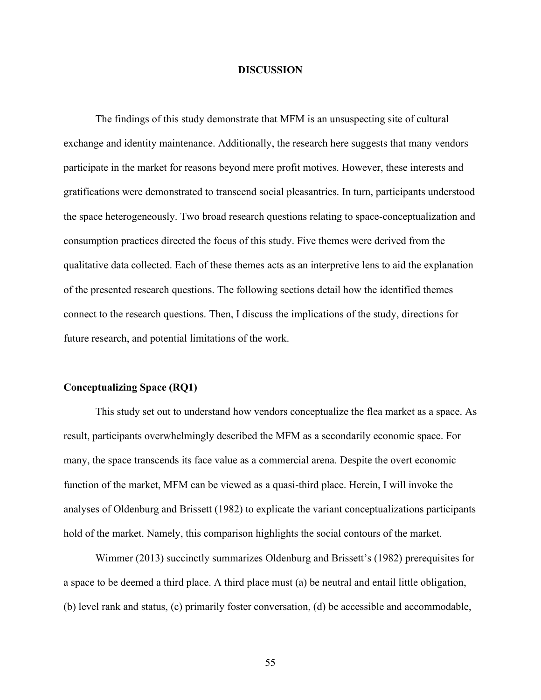### **DISCUSSION**

The findings of this study demonstrate that MFM is an unsuspecting site of cultural exchange and identity maintenance. Additionally, the research here suggests that many vendors participate in the market for reasons beyond mere profit motives. However, these interests and gratifications were demonstrated to transcend social pleasantries. In turn, participants understood the space heterogeneously. Two broad research questions relating to space-conceptualization and consumption practices directed the focus of this study. Five themes were derived from the qualitative data collected. Each of these themes acts as an interpretive lens to aid the explanation of the presented research questions. The following sections detail how the identified themes connect to the research questions. Then, I discuss the implications of the study, directions for future research, and potential limitations of the work.

#### **Conceptualizing Space (RQ1)**

This study set out to understand how vendors conceptualize the flea market as a space. As result, participants overwhelmingly described the MFM as a secondarily economic space. For many, the space transcends its face value as a commercial arena. Despite the overt economic function of the market, MFM can be viewed as a quasi-third place. Herein, I will invoke the analyses of Oldenburg and Brissett (1982) to explicate the variant conceptualizations participants hold of the market. Namely, this comparison highlights the social contours of the market.

Wimmer (2013) succinctly summarizes Oldenburg and Brissett's (1982) prerequisites for a space to be deemed a third place. A third place must (a) be neutral and entail little obligation, (b) level rank and status, (c) primarily foster conversation, (d) be accessible and accommodable,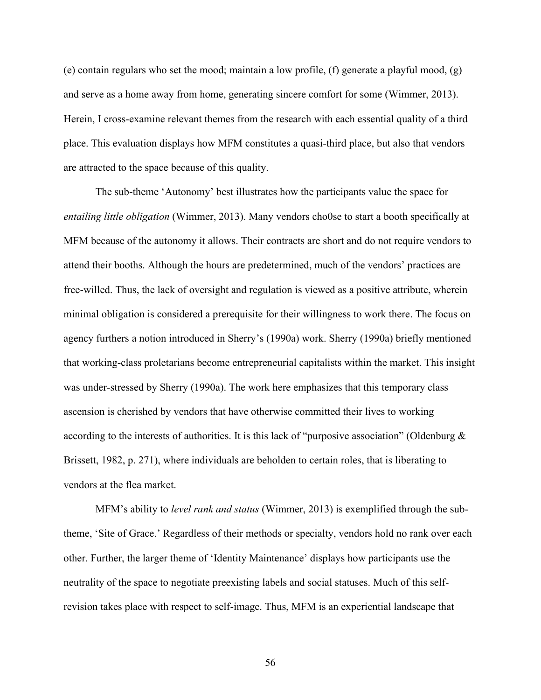(e) contain regulars who set the mood; maintain a low profile, (f) generate a playful mood, (g) and serve as a home away from home, generating sincere comfort for some (Wimmer, 2013). Herein, I cross-examine relevant themes from the research with each essential quality of a third place. This evaluation displays how MFM constitutes a quasi-third place, but also that vendors are attracted to the space because of this quality.

The sub-theme 'Autonomy' best illustrates how the participants value the space for *entailing little obligation* (Wimmer, 2013). Many vendors cho0se to start a booth specifically at MFM because of the autonomy it allows. Their contracts are short and do not require vendors to attend their booths. Although the hours are predetermined, much of the vendors' practices are free-willed. Thus, the lack of oversight and regulation is viewed as a positive attribute, wherein minimal obligation is considered a prerequisite for their willingness to work there. The focus on agency furthers a notion introduced in Sherry's (1990a) work. Sherry (1990a) briefly mentioned that working-class proletarians become entrepreneurial capitalists within the market. This insight was under-stressed by Sherry (1990a). The work here emphasizes that this temporary class ascension is cherished by vendors that have otherwise committed their lives to working according to the interests of authorities. It is this lack of "purposive association" (Oldenburg  $\&$ Brissett, 1982, p. 271), where individuals are beholden to certain roles, that is liberating to vendors at the flea market.

MFM's ability to *level rank and status* (Wimmer, 2013) is exemplified through the subtheme, 'Site of Grace.' Regardless of their methods or specialty, vendors hold no rank over each other. Further, the larger theme of 'Identity Maintenance' displays how participants use the neutrality of the space to negotiate preexisting labels and social statuses. Much of this selfrevision takes place with respect to self-image. Thus, MFM is an experiential landscape that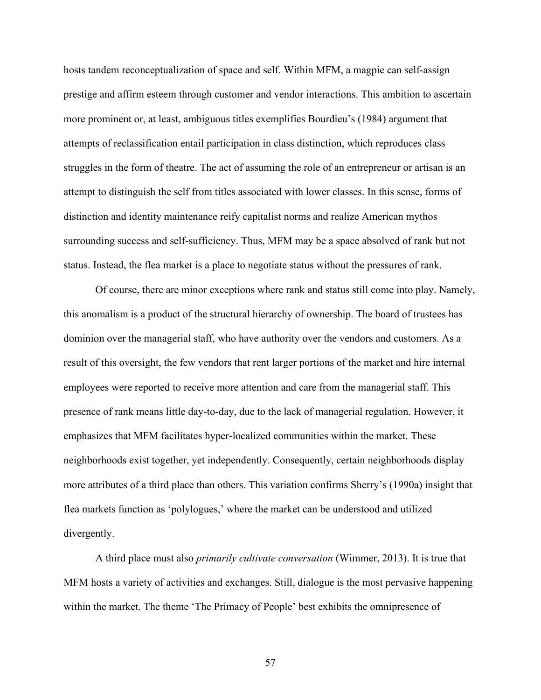hosts tandem reconceptualization of space and self. Within MFM, a magpie can self-assign prestige and affirm esteem through customer and vendor interactions. This ambition to ascertain more prominent or, at least, ambiguous titles exemplifies Bourdieu's (1984) argument that attempts of reclassification entail participation in class distinction, which reproduces class struggles in the form of theatre. The act of assuming the role of an entrepreneur or artisan is an attempt to distinguish the self from titles associated with lower classes. In this sense, forms of distinction and identity maintenance reify capitalist norms and realize American mythos surrounding success and self-sufficiency. Thus, MFM may be a space absolved of rank but not status. Instead, the flea market is a place to negotiate status without the pressures of rank.

Of course, there are minor exceptions where rank and status still come into play. Namely, this anomalism is a product of the structural hierarchy of ownership. The board of trustees has dominion over the managerial staff, who have authority over the vendors and customers. As a result of this oversight, the few vendors that rent larger portions of the market and hire internal employees were reported to receive more attention and care from the managerial staff. This presence of rank means little day-to-day, due to the lack of managerial regulation. However, it emphasizes that MFM facilitates hyper-localized communities within the market. These neighborhoods exist together, yet independently. Consequently, certain neighborhoods display more attributes of a third place than others. This variation confirms Sherry's (1990a) insight that flea markets function as 'polylogues,' where the market can be understood and utilized divergently.

A third place must also *primarily cultivate conversation* (Wimmer, 2013). It is true that MFM hosts a variety of activities and exchanges. Still, dialogue is the most pervasive happening within the market. The theme 'The Primacy of People' best exhibits the omnipresence of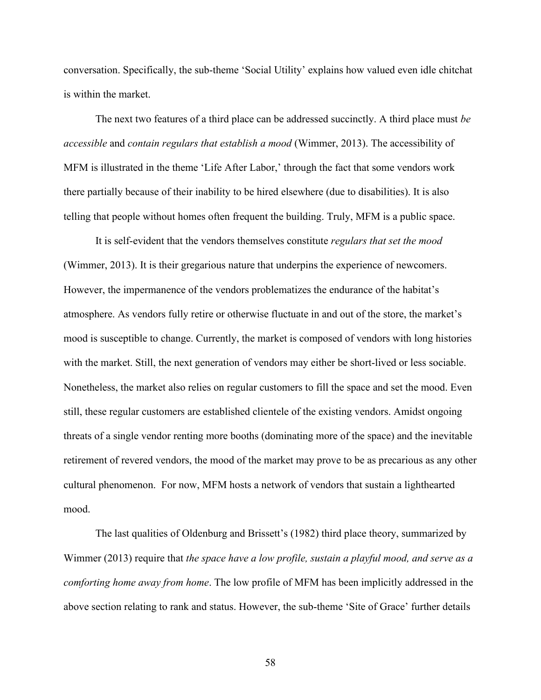conversation. Specifically, the sub-theme 'Social Utility' explains how valued even idle chitchat is within the market.

The next two features of a third place can be addressed succinctly. A third place must *be accessible* and *contain regulars that establish a mood* (Wimmer, 2013). The accessibility of MFM is illustrated in the theme 'Life After Labor,' through the fact that some vendors work there partially because of their inability to be hired elsewhere (due to disabilities). It is also telling that people without homes often frequent the building. Truly, MFM is a public space.

It is self-evident that the vendors themselves constitute *regulars that set the mood* (Wimmer, 2013). It is their gregarious nature that underpins the experience of newcomers. However, the impermanence of the vendors problematizes the endurance of the habitat's atmosphere. As vendors fully retire or otherwise fluctuate in and out of the store, the market's mood is susceptible to change. Currently, the market is composed of vendors with long histories with the market. Still, the next generation of vendors may either be short-lived or less sociable. Nonetheless, the market also relies on regular customers to fill the space and set the mood. Even still, these regular customers are established clientele of the existing vendors. Amidst ongoing threats of a single vendor renting more booths (dominating more of the space) and the inevitable retirement of revered vendors, the mood of the market may prove to be as precarious as any other cultural phenomenon. For now, MFM hosts a network of vendors that sustain a lighthearted mood.

The last qualities of Oldenburg and Brissett's (1982) third place theory, summarized by Wimmer (2013) require that *the space have a low profile, sustain a playful mood, and serve as a comforting home away from home*. The low profile of MFM has been implicitly addressed in the above section relating to rank and status. However, the sub-theme 'Site of Grace' further details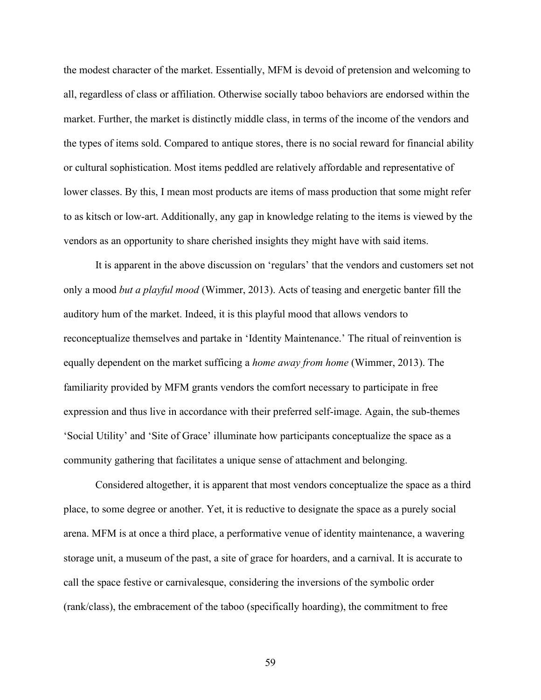the modest character of the market. Essentially, MFM is devoid of pretension and welcoming to all, regardless of class or affiliation. Otherwise socially taboo behaviors are endorsed within the market. Further, the market is distinctly middle class, in terms of the income of the vendors and the types of items sold. Compared to antique stores, there is no social reward for financial ability or cultural sophistication. Most items peddled are relatively affordable and representative of lower classes. By this, I mean most products are items of mass production that some might refer to as kitsch or low-art. Additionally, any gap in knowledge relating to the items is viewed by the vendors as an opportunity to share cherished insights they might have with said items.

It is apparent in the above discussion on 'regulars' that the vendors and customers set not only a mood *but a playful mood* (Wimmer, 2013). Acts of teasing and energetic banter fill the auditory hum of the market. Indeed, it is this playful mood that allows vendors to reconceptualize themselves and partake in 'Identity Maintenance.' The ritual of reinvention is equally dependent on the market sufficing a *home away from home* (Wimmer, 2013). The familiarity provided by MFM grants vendors the comfort necessary to participate in free expression and thus live in accordance with their preferred self-image. Again, the sub-themes 'Social Utility' and 'Site of Grace' illuminate how participants conceptualize the space as a community gathering that facilitates a unique sense of attachment and belonging.

Considered altogether, it is apparent that most vendors conceptualize the space as a third place, to some degree or another. Yet, it is reductive to designate the space as a purely social arena. MFM is at once a third place, a performative venue of identity maintenance, a wavering storage unit, a museum of the past, a site of grace for hoarders, and a carnival. It is accurate to call the space festive or carnivalesque, considering the inversions of the symbolic order (rank/class), the embracement of the taboo (specifically hoarding), the commitment to free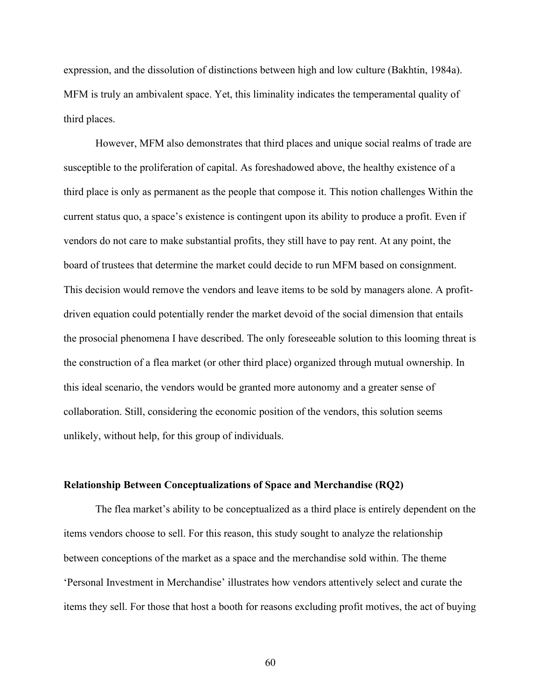expression, and the dissolution of distinctions between high and low culture (Bakhtin, 1984a). MFM is truly an ambivalent space. Yet, this liminality indicates the temperamental quality of third places.

However, MFM also demonstrates that third places and unique social realms of trade are susceptible to the proliferation of capital. As foreshadowed above, the healthy existence of a third place is only as permanent as the people that compose it. This notion challenges Within the current status quo, a space's existence is contingent upon its ability to produce a profit. Even if vendors do not care to make substantial profits, they still have to pay rent. At any point, the board of trustees that determine the market could decide to run MFM based on consignment. This decision would remove the vendors and leave items to be sold by managers alone. A profitdriven equation could potentially render the market devoid of the social dimension that entails the prosocial phenomena I have described. The only foreseeable solution to this looming threat is the construction of a flea market (or other third place) organized through mutual ownership. In this ideal scenario, the vendors would be granted more autonomy and a greater sense of collaboration. Still, considering the economic position of the vendors, this solution seems unlikely, without help, for this group of individuals.

#### **Relationship Between Conceptualizations of Space and Merchandise (RQ2)**

The flea market's ability to be conceptualized as a third place is entirely dependent on the items vendors choose to sell. For this reason, this study sought to analyze the relationship between conceptions of the market as a space and the merchandise sold within. The theme 'Personal Investment in Merchandise' illustrates how vendors attentively select and curate the items they sell. For those that host a booth for reasons excluding profit motives, the act of buying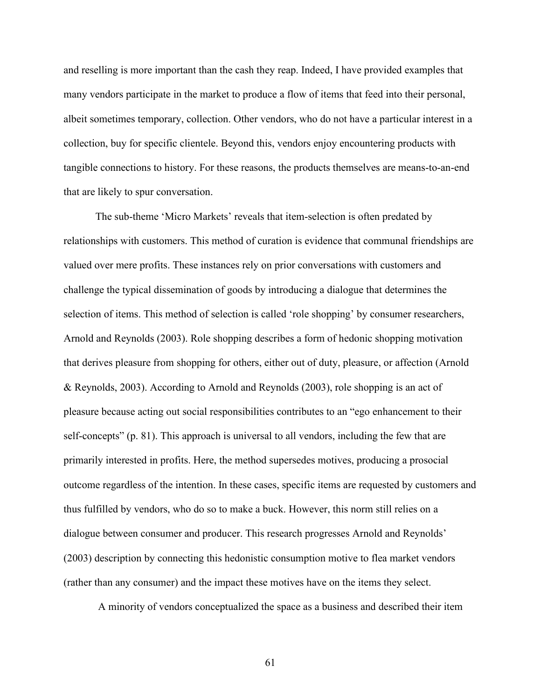and reselling is more important than the cash they reap. Indeed, I have provided examples that many vendors participate in the market to produce a flow of items that feed into their personal, albeit sometimes temporary, collection. Other vendors, who do not have a particular interest in a collection, buy for specific clientele. Beyond this, vendors enjoy encountering products with tangible connections to history. For these reasons, the products themselves are means-to-an-end that are likely to spur conversation.

The sub-theme 'Micro Markets' reveals that item-selection is often predated by relationships with customers. This method of curation is evidence that communal friendships are valued over mere profits. These instances rely on prior conversations with customers and challenge the typical dissemination of goods by introducing a dialogue that determines the selection of items. This method of selection is called 'role shopping' by consumer researchers, Arnold and Reynolds (2003). Role shopping describes a form of hedonic shopping motivation that derives pleasure from shopping for others, either out of duty, pleasure, or affection (Arnold & Reynolds, 2003). According to Arnold and Reynolds (2003), role shopping is an act of pleasure because acting out social responsibilities contributes to an "ego enhancement to their self-concepts" (p. 81). This approach is universal to all vendors, including the few that are primarily interested in profits. Here, the method supersedes motives, producing a prosocial outcome regardless of the intention. In these cases, specific items are requested by customers and thus fulfilled by vendors, who do so to make a buck. However, this norm still relies on a dialogue between consumer and producer. This research progresses Arnold and Reynolds' (2003) description by connecting this hedonistic consumption motive to flea market vendors (rather than any consumer) and the impact these motives have on the items they select.

A minority of vendors conceptualized the space as a business and described their item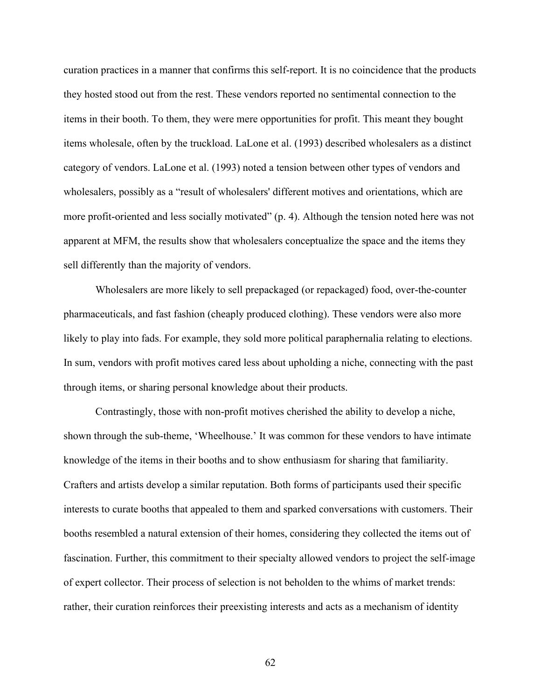curation practices in a manner that confirms this self-report. It is no coincidence that the products they hosted stood out from the rest. These vendors reported no sentimental connection to the items in their booth. To them, they were mere opportunities for profit. This meant they bought items wholesale, often by the truckload. LaLone et al. (1993) described wholesalers as a distinct category of vendors. LaLone et al. (1993) noted a tension between other types of vendors and wholesalers, possibly as a "result of wholesalers' different motives and orientations, which are more profit-oriented and less socially motivated" (p. 4). Although the tension noted here was not apparent at MFM, the results show that wholesalers conceptualize the space and the items they sell differently than the majority of vendors.

Wholesalers are more likely to sell prepackaged (or repackaged) food, over-the-counter pharmaceuticals, and fast fashion (cheaply produced clothing). These vendors were also more likely to play into fads. For example, they sold more political paraphernalia relating to elections. In sum, vendors with profit motives cared less about upholding a niche, connecting with the past through items, or sharing personal knowledge about their products.

Contrastingly, those with non-profit motives cherished the ability to develop a niche, shown through the sub-theme, 'Wheelhouse.' It was common for these vendors to have intimate knowledge of the items in their booths and to show enthusiasm for sharing that familiarity. Crafters and artists develop a similar reputation. Both forms of participants used their specific interests to curate booths that appealed to them and sparked conversations with customers. Their booths resembled a natural extension of their homes, considering they collected the items out of fascination. Further, this commitment to their specialty allowed vendors to project the self-image of expert collector. Their process of selection is not beholden to the whims of market trends: rather, their curation reinforces their preexisting interests and acts as a mechanism of identity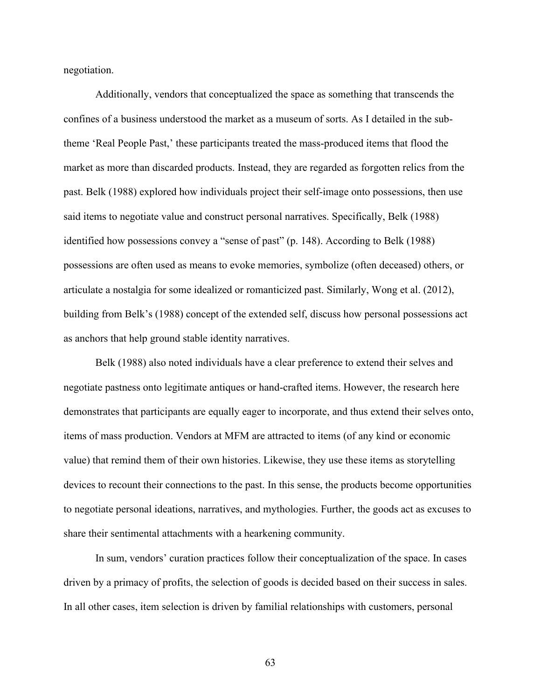negotiation.

Additionally, vendors that conceptualized the space as something that transcends the confines of a business understood the market as a museum of sorts. As I detailed in the subtheme 'Real People Past,' these participants treated the mass-produced items that flood the market as more than discarded products. Instead, they are regarded as forgotten relics from the past. Belk (1988) explored how individuals project their self-image onto possessions, then use said items to negotiate value and construct personal narratives. Specifically, Belk (1988) identified how possessions convey a "sense of past" (p. 148). According to Belk (1988) possessions are often used as means to evoke memories, symbolize (often deceased) others, or articulate a nostalgia for some idealized or romanticized past. Similarly, Wong et al. (2012), building from Belk's (1988) concept of the extended self, discuss how personal possessions act as anchors that help ground stable identity narratives.

Belk (1988) also noted individuals have a clear preference to extend their selves and negotiate pastness onto legitimate antiques or hand-crafted items. However, the research here demonstrates that participants are equally eager to incorporate, and thus extend their selves onto, items of mass production. Vendors at MFM are attracted to items (of any kind or economic value) that remind them of their own histories. Likewise, they use these items as storytelling devices to recount their connections to the past. In this sense, the products become opportunities to negotiate personal ideations, narratives, and mythologies. Further, the goods act as excuses to share their sentimental attachments with a hearkening community.

In sum, vendors' curation practices follow their conceptualization of the space. In cases driven by a primacy of profits, the selection of goods is decided based on their success in sales. In all other cases, item selection is driven by familial relationships with customers, personal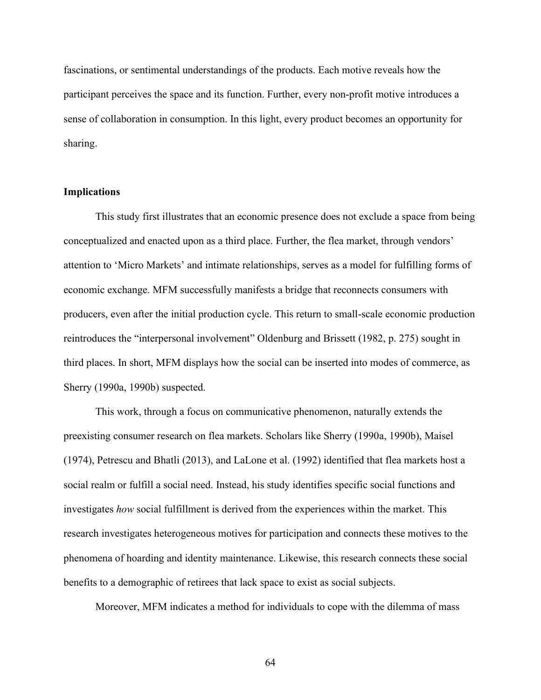fascinations, or sentimental understandings of the products. Each motive reveals how the participant perceives the space and its function. Further, every non-profit motive introduces a sense of collaboration in consumption. In this light, every product becomes an opportunity for sharing.

# **Implications**

This study first illustrates that an economic presence does not exclude a space from being conceptualized and enacted upon as a third place. Further, the flea market, through vendors' attention to 'Micro Markets' and intimate relationships, serves as a model for fulfilling forms of economic exchange. MFM successfully manifests a bridge that reconnects consumers with producers, even after the initial production cycle. This return to small-scale economic production reintroduces the "interpersonal involvement" Oldenburg and Brissett (1982, p. 275) sought in third places. In short, MFM displays how the social can be inserted into modes of commerce, as Sherry (1990a, 1990b) suspected.

This work, through a focus on communicative phenomenon, naturally extends the preexisting consumer research on flea markets. Scholars like Sherry (1990a, 1990b), Maisel (1974), Petrescu and Bhatli (2013), and LaLone et al. (1992) identified that flea markets host a social realm or fulfill a social need. Instead, his study identifies specific social functions and investigates *how* social fulfillment is derived from the experiences within the market. This research investigates heterogeneous motives for participation and connects these motives to the phenomena of hoarding and identity maintenance. Likewise, this research connects these social benefits to a demographic of retirees that lack space to exist as social subjects.

Moreover, MFM indicates a method for individuals to cope with the dilemma of mass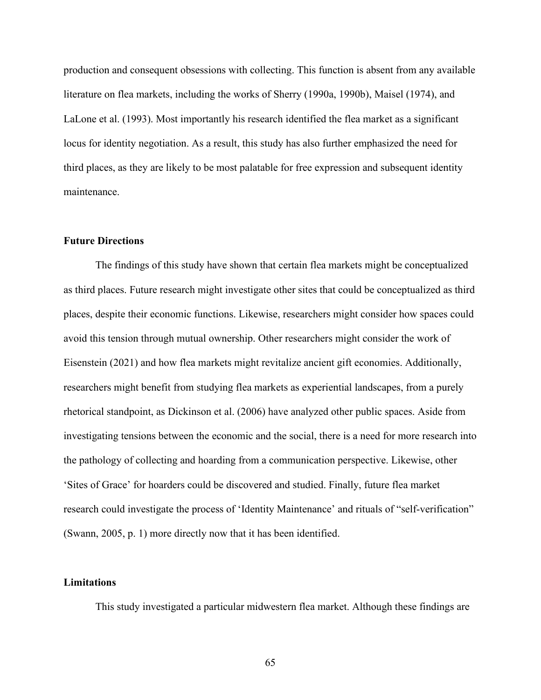production and consequent obsessions with collecting. This function is absent from any available literature on flea markets, including the works of Sherry (1990a, 1990b), Maisel (1974), and LaLone et al. (1993). Most importantly his research identified the flea market as a significant locus for identity negotiation. As a result, this study has also further emphasized the need for third places, as they are likely to be most palatable for free expression and subsequent identity maintenance.

### **Future Directions**

The findings of this study have shown that certain flea markets might be conceptualized as third places. Future research might investigate other sites that could be conceptualized as third places, despite their economic functions. Likewise, researchers might consider how spaces could avoid this tension through mutual ownership. Other researchers might consider the work of Eisenstein (2021) and how flea markets might revitalize ancient gift economies. Additionally, researchers might benefit from studying flea markets as experiential landscapes, from a purely rhetorical standpoint, as Dickinson et al. (2006) have analyzed other public spaces. Aside from investigating tensions between the economic and the social, there is a need for more research into the pathology of collecting and hoarding from a communication perspective. Likewise, other 'Sites of Grace' for hoarders could be discovered and studied. Finally, future flea market research could investigate the process of 'Identity Maintenance' and rituals of "self-verification" (Swann, 2005, p. 1) more directly now that it has been identified.

# **Limitations**

This study investigated a particular midwestern flea market. Although these findings are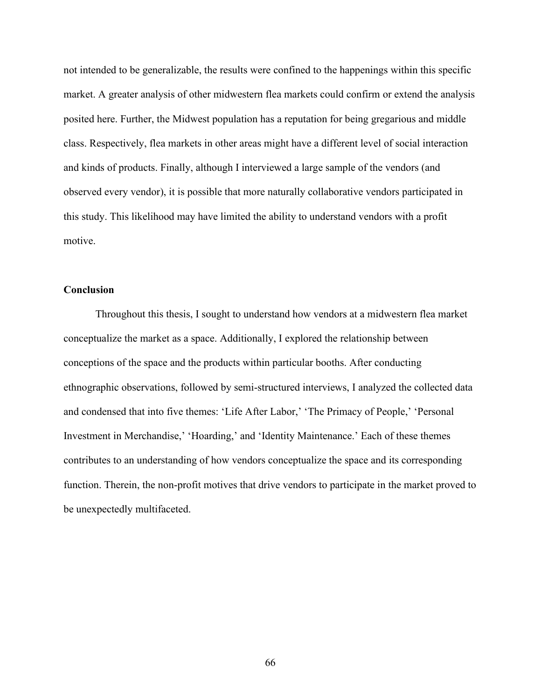not intended to be generalizable, the results were confined to the happenings within this specific market. A greater analysis of other midwestern flea markets could confirm or extend the analysis posited here. Further, the Midwest population has a reputation for being gregarious and middle class. Respectively, flea markets in other areas might have a different level of social interaction and kinds of products. Finally, although I interviewed a large sample of the vendors (and observed every vendor), it is possible that more naturally collaborative vendors participated in this study. This likelihood may have limited the ability to understand vendors with a profit motive.

# **Conclusion**

Throughout this thesis, I sought to understand how vendors at a midwestern flea market conceptualize the market as a space. Additionally, I explored the relationship between conceptions of the space and the products within particular booths. After conducting ethnographic observations, followed by semi-structured interviews, I analyzed the collected data and condensed that into five themes: 'Life After Labor,' 'The Primacy of People,' 'Personal Investment in Merchandise,' 'Hoarding,' and 'Identity Maintenance.' Each of these themes contributes to an understanding of how vendors conceptualize the space and its corresponding function. Therein, the non-profit motives that drive vendors to participate in the market proved to be unexpectedly multifaceted.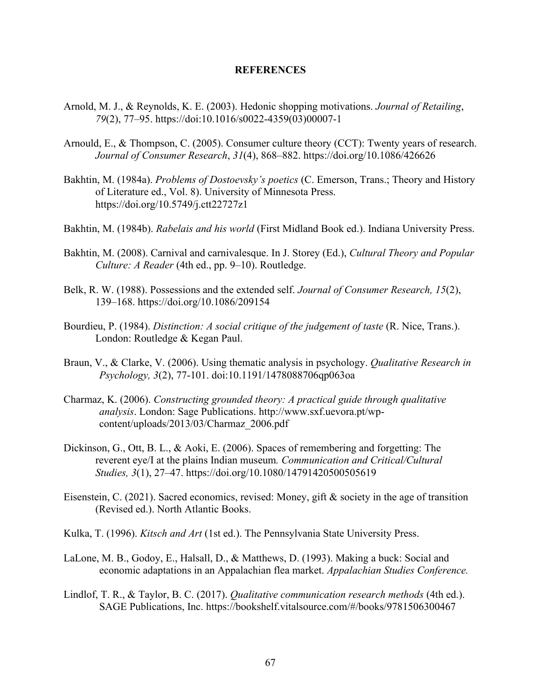#### **REFERENCES**

- Arnold, M. J., & Reynolds, K. E. (2003). Hedonic shopping motivations. *Journal of Retailing*, *79*(2), 77–95. https://doi:10.1016/s0022-4359(03)00007-1
- Arnould, E., & Thompson, C. (2005). Consumer culture theory (CCT): Twenty years of research. *Journal of Consumer Research*, *31*(4), 868–882. https://doi.org/10.1086/426626
- Bakhtin, M. (1984a). *Problems of Dostoevsky's poetics* (C. Emerson, Trans.; Theory and History of Literature ed., Vol. 8). University of Minnesota Press. https://doi.org/10.5749/j.ctt22727z1
- Bakhtin, M. (1984b). *Rabelais and his world* (First Midland Book ed.). Indiana University Press.
- Bakhtin, M. (2008). Carnival and carnivalesque. In J. Storey (Ed.), *Cultural Theory and Popular Culture: A Reader* (4th ed., pp. 9–10). Routledge.
- Belk, R. W. (1988). Possessions and the extended self. *Journal of Consumer Research, 15*(2), 139–168. https://doi.org/10.1086/209154
- Bourdieu, P. (1984). *Distinction: A social critique of the judgement of taste* (R. Nice, Trans.). London: Routledge & Kegan Paul.
- Braun, V., & Clarke, V. (2006). Using thematic analysis in psychology. *Qualitative Research in Psychology, 3*(2), 77-101. doi:10.1191/1478088706qp063oa
- Charmaz, K. (2006). *Constructing grounded theory: A practical guide through qualitative analysis*. London: Sage Publications. http://www.sxf.uevora.pt/wpcontent/uploads/2013/03/Charmaz\_2006.pdf
- Dickinson, G., Ott, B. L., & Aoki, E. (2006). Spaces of remembering and forgetting: The reverent eye/I at the plains Indian museum*. Communication and Critical/Cultural Studies, 3*(1), 27–47. https://doi.org/10.1080/14791420500505619
- Eisenstein, C. (2021). Sacred economics, revised: Money, gift & society in the age of transition (Revised ed.). North Atlantic Books.
- Kulka, T. (1996). *Kitsch and Art* (1st ed.). The Pennsylvania State University Press.
- LaLone, M. B., Godoy, E., Halsall, D., & Matthews, D. (1993). Making a buck: Social and economic adaptations in an Appalachian flea market. *Appalachian Studies Conference.*
- Lindlof, T. R., & Taylor, B. C. (2017). *Qualitative communication research methods* (4th ed.). SAGE Publications, Inc. https://bookshelf.vitalsource.com/#/books/9781506300467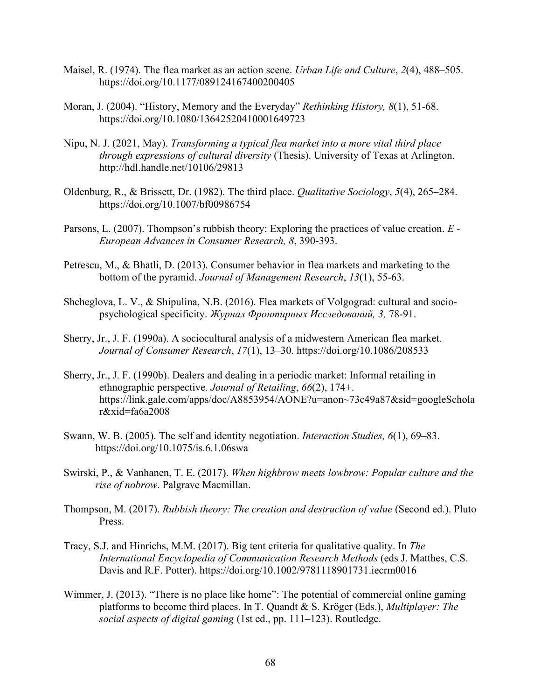- Maisel, R. (1974). The flea market as an action scene. *Urban Life and Culture*, *2*(4), 488–505. https://doi.org/10.1177/089124167400200405
- Moran, J. (2004). "History, Memory and the Everyday" *Rethinking History, 8*(1), 51-68. https://doi.org/10.1080/13642520410001649723
- Nipu, N. J. (2021, May). *Transforming a typical flea market into a more vital third place through expressions of cultural diversity* (Thesis). University of Texas at Arlington. http://hdl.handle.net/10106/29813
- Oldenburg, R., & Brissett, Dr. (1982). The third place. *Qualitative Sociology*, *5*(4), 265–284. https://doi.org/10.1007/bf00986754
- Parsons, L. (2007). Thompson's rubbish theory: Exploring the practices of value creation. *E - European Advances in Consumer Research, 8*, 390-393.
- Petrescu, M., & Bhatli, D. (2013). Consumer behavior in flea markets and marketing to the bottom of the pyramid. *Journal of Management Research*, *13*(1), 55-63.
- Shcheglova, L. V., & Shipulina, N.B. (2016). Flea markets of Volgograd: cultural and sociopsychological specificity. *Журнал Фронтирных Исследований, 3,* 78-91.
- Sherry, Jr., J. F. (1990a). A sociocultural analysis of a midwestern American flea market. *Journal of Consumer Research*, *17*(1), 13–30. https://doi.org/10.1086/208533
- Sherry, Jr., J. F. (1990b). Dealers and dealing in a periodic market: Informal retailing in ethnographic perspective*. Journal of Retailing*, *66*(2), 174+. https://link.gale.com/apps/doc/A8853954/AONE?u=anon~73c49a87&sid=googleSchola r&xid=fa6a2008
- Swann, W. B. (2005). The self and identity negotiation. *Interaction Studies, 6*(1), 69–83. https://doi.org/10.1075/is.6.1.06swa
- Swirski, P., & Vanhanen, T. E. (2017). *When highbrow meets lowbrow: Popular culture and the rise of nobrow*. Palgrave Macmillan.
- Thompson, M. (2017). *Rubbish theory: The creation and destruction of value* (Second ed.). Pluto Press.
- Tracy, S.J. and Hinrichs, M.M. (2017). Big tent criteria for qualitative quality. In *The International Encyclopedia of Communication Research Methods* (eds J. Matthes, C.S. Davis and R.F. Potter). https://doi.org/10.1002/9781118901731.iecrm0016
- Wimmer, J. (2013). "There is no place like home": The potential of commercial online gaming platforms to become third places. In T. Quandt & S. Kröger (Eds.), *Multiplayer: The social aspects of digital gaming* (1st ed., pp. 111–123). Routledge.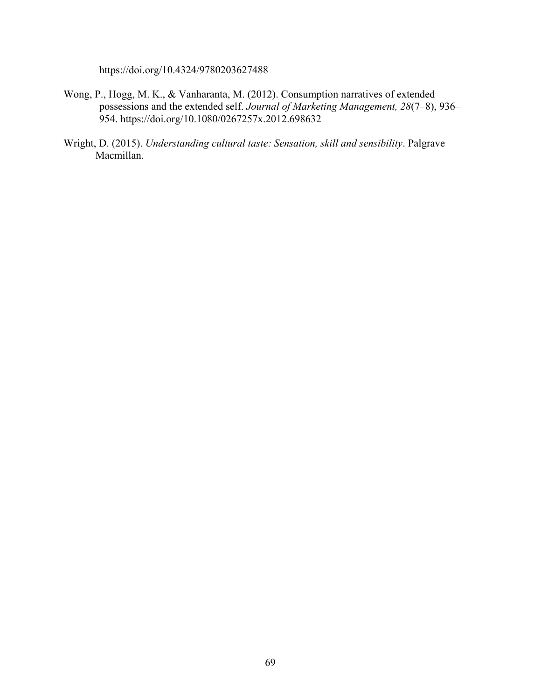https://doi.org/10.4324/9780203627488

- Wong, P., Hogg, M. K., & Vanharanta, M. (2012). Consumption narratives of extended possessions and the extended self. *Journal of Marketing Management, 28*(7–8), 936– 954. https://doi.org/10.1080/0267257x.2012.698632
- Wright, D. (2015). *Understanding cultural taste: Sensation, skill and sensibility*. Palgrave Macmillan.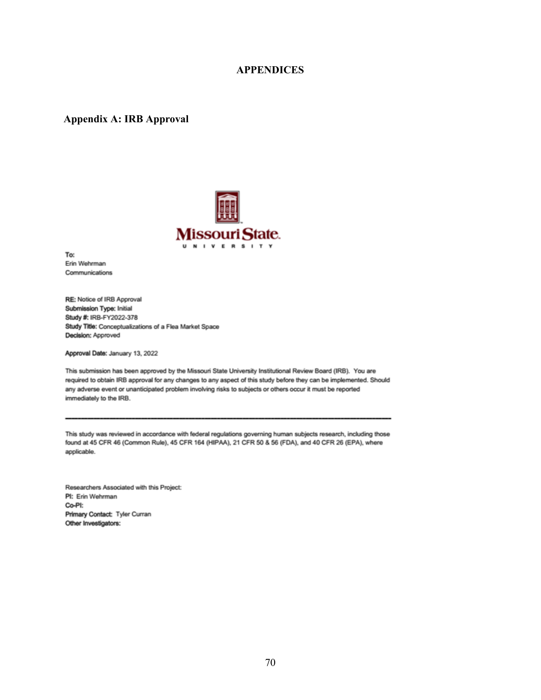# **APPENDICES**

#### **Appendix A: IRB Approval**



To: Erin Wehrman Communications

RE: Notice of IRB Approval Submission Type: Initial Study #: IRB-FY2022-378 Study Title: Conceptualizations of a Flea Market Space Decision: Approved

Approval Date: January 13, 2022

This submission has been approved by the Missouri State University Institutional Review Board (IRB). You are required to obtain IRB approval for any changes to any aspect of this study before they can be implemented. Should any adverse event or unanticipated problem involving risks to subjects or others occur it must be reported immediately to the IRB.

This study was reviewed in accordance with federal regulations governing human subjects research, including those found at 45 CFR 46 (Common Rule), 45 CFR 164 (HIPAA), 21 CFR 50 & 56 (FDA), and 40 CFR 26 (EPA), where applicable.

Researchers Associated with this Project: PI: Erin Wehrman Co-PI: Primary Contact: Tyler Curran Other Investigators: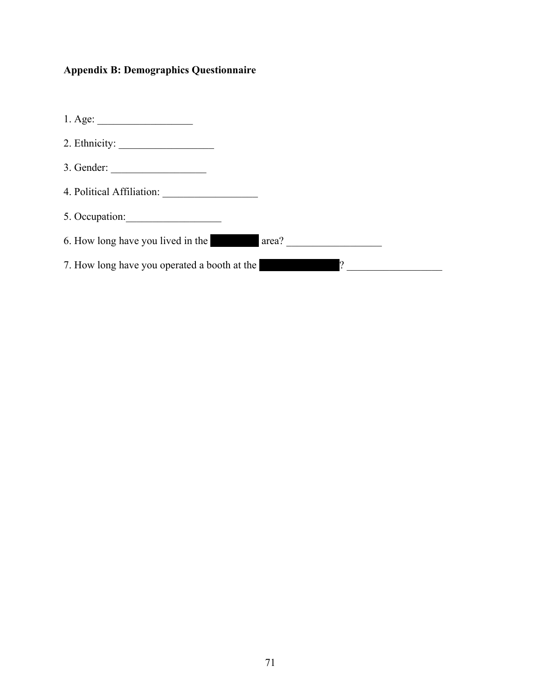# **Appendix B: Demographics Questionnaire**

| $1. \text{Age:}\n$                           |                                       |
|----------------------------------------------|---------------------------------------|
| 2. Ethnicity:                                |                                       |
| 3. Gender:                                   |                                       |
|                                              |                                       |
| 5. Occupation:                               |                                       |
| 6. How long have you lived in the<br>area?   | and the control of the control of the |
| 7. How long have you operated a booth at the |                                       |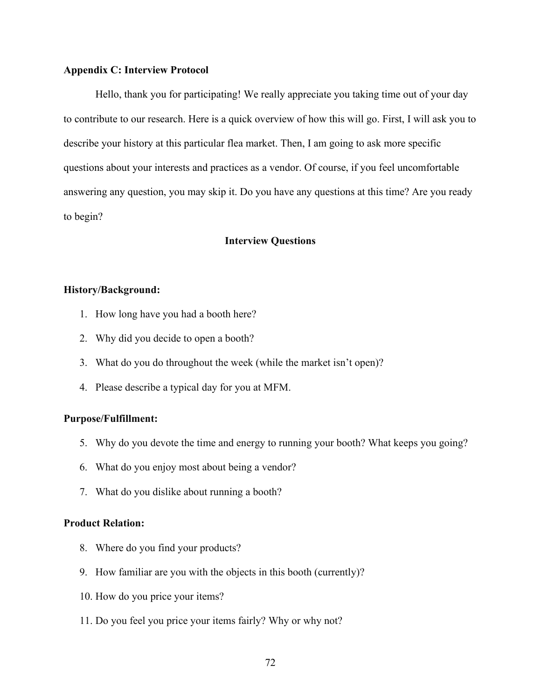## **Appendix C: Interview Protocol**

Hello, thank you for participating! We really appreciate you taking time out of your day to contribute to our research. Here is a quick overview of how this will go. First, I will ask you to describe your history at this particular flea market. Then, I am going to ask more specific questions about your interests and practices as a vendor. Of course, if you feel uncomfortable answering any question, you may skip it. Do you have any questions at this time? Are you ready to begin?

# **Interview Questions**

### **History/Background:**

- 1. How long have you had a booth here?
- 2. Why did you decide to open a booth?
- 3. What do you do throughout the week (while the market isn't open)?
- 4. Please describe a typical day for you at MFM.

# **Purpose/Fulfillment:**

- 5. Why do you devote the time and energy to running your booth? What keeps you going?
- 6. What do you enjoy most about being a vendor?
- 7. What do you dislike about running a booth?

#### **Product Relation:**

- 8. Where do you find your products?
- 9. How familiar are you with the objects in this booth (currently)?
- 10. How do you price your items?
- 11. Do you feel you price your items fairly? Why or why not?